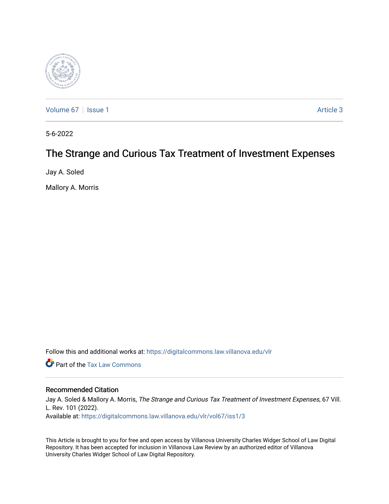

[Volume 67](https://digitalcommons.law.villanova.edu/vlr/vol67) | [Issue 1](https://digitalcommons.law.villanova.edu/vlr/vol67/iss1) Article 3

5-6-2022

# The Strange and Curious Tax Treatment of Investment Expenses

Jay A. Soled

Mallory A. Morris

Follow this and additional works at: [https://digitalcommons.law.villanova.edu/vlr](https://digitalcommons.law.villanova.edu/vlr?utm_source=digitalcommons.law.villanova.edu%2Fvlr%2Fvol67%2Fiss1%2F3&utm_medium=PDF&utm_campaign=PDFCoverPages)

**C** Part of the [Tax Law Commons](http://network.bepress.com/hgg/discipline/898?utm_source=digitalcommons.law.villanova.edu%2Fvlr%2Fvol67%2Fiss1%2F3&utm_medium=PDF&utm_campaign=PDFCoverPages)

# Recommended Citation

Jay A. Soled & Mallory A. Morris, The Strange and Curious Tax Treatment of Investment Expenses, 67 Vill. L. Rev. 101 (2022). Available at: [https://digitalcommons.law.villanova.edu/vlr/vol67/iss1/3](https://digitalcommons.law.villanova.edu/vlr/vol67/iss1/3?utm_source=digitalcommons.law.villanova.edu%2Fvlr%2Fvol67%2Fiss1%2F3&utm_medium=PDF&utm_campaign=PDFCoverPages) 

This Article is brought to you for free and open access by Villanova University Charles Widger School of Law Digital Repository. It has been accepted for inclusion in Villanova Law Review by an authorized editor of Villanova University Charles Widger School of Law Digital Repository.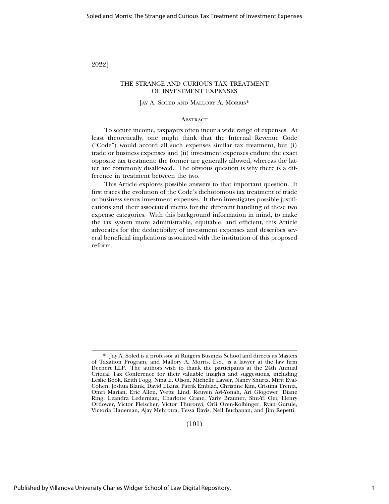2022]

# THE STRANGE AND CURIOUS TAX TREATMENT OF INVESTMENT EXPENSES

#### JAY A. SOLED AND MALLORY A. MORRIS\*

### **ABSTRACT**

To secure income, taxpayers often incur a wide range of expenses. At least theoretically, one might think that the Internal Revenue Code ("Code") would accord all such expenses similar tax treatment, but (i) trade or business expenses and (ii) investment expenses endure the exact opposite tax treatment: the former are generally allowed, whereas the latter are commonly disallowed. The obvious question is why there is a difference in treatment between the two.

This Article explores possible answers to that important question. It first traces the evolution of the Code's dichotomous tax treatment of trade or business versus investment expenses. It then investigates possible justifications and their associated merits for the different handling of these two expense categories. With this background information in mind, to make the tax system more administrable, equitable, and efficient, this Article advocates for the deductibility of investment expenses and describes several beneficial implications associated with the institution of this proposed reform.

(101)

<sup>\*</sup> Jay A. Soled is a professor at Rutgers Business School and directs its Masters of Taxation Program, and Mallory A. Morris, Esq., is a lawyer at the law firm Dechert LLP. The authors wish to thank the participants at the 24th Annual Critical Tax Conference for their valuable insights and suggestions, including Leslie Book, Keith Fogg, Nina E. Olson, Michelle Layser, Nancy Shurtz, Mirit Eyal-Cohen, Joshua Blank, David Elkins, Patrik Emblad, Christine Kim, Cristina Trenta, Omri Marian, Eric Allen, Yvette Lind, Reuven Avi-Yonah, Ari Glogower, Diane Ring, Leandra Lederman, Charlotte Crane, Yariv Brauner, Shu-Yi Oei, Henry Ordower, Victor Fleischer, Victor Thuronyi, Orli Oren-Kolbinger, Ryan Gurule, Victoria Haneman, Ajay Mehrotra, Tessa Davis, Neil Buchanan, and Jim Repetti.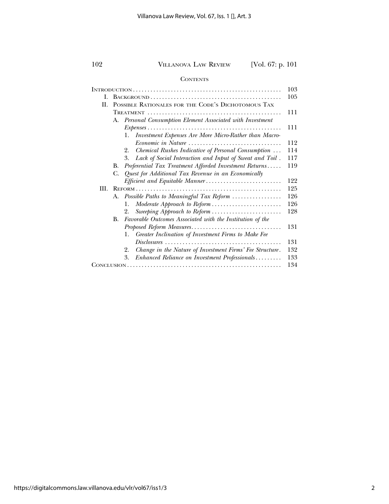# **CONTENTS**

|      |                                                               |                                                                       | 103 |  |  |  |
|------|---------------------------------------------------------------|-----------------------------------------------------------------------|-----|--|--|--|
| I.   | 105                                                           |                                                                       |     |  |  |  |
| H.   | POSSIBLE RATIONALES FOR THE CODE'S DICHOTOMOUS TAX            |                                                                       |     |  |  |  |
|      | Personal Consumption Element Associated with Investment<br>А. |                                                                       |     |  |  |  |
|      |                                                               |                                                                       |     |  |  |  |
|      |                                                               |                                                                       |     |  |  |  |
|      |                                                               | Investment Expenses Are More Micro-Rather than Macro-<br>$\mathbf{L}$ |     |  |  |  |
|      |                                                               | Economic in Nature                                                    | 112 |  |  |  |
|      |                                                               | Chemical Rushes Indicative of Personal Consumption<br>2.              | 114 |  |  |  |
|      |                                                               | Lack of Social Interaction and Input of Sweat and Toil.<br>3.         | 117 |  |  |  |
|      | В.                                                            | Preferential Tax Treatment Afforded Investment Returns                | 119 |  |  |  |
|      | C.                                                            | Quest for Additional Tax Revenue in an Economically                   |     |  |  |  |
|      |                                                               |                                                                       | 122 |  |  |  |
| III. |                                                               |                                                                       |     |  |  |  |
|      | Possible Paths to Meaningful Tax Reform<br>А.                 |                                                                       |     |  |  |  |
|      |                                                               | Moderate Approach to Reform<br>1.                                     | 126 |  |  |  |
|      |                                                               | Sweeping Approach to Reform<br>2.                                     | 128 |  |  |  |
|      | <b>B.</b>                                                     | Favorable Outcomes Associated with the Institution of the             |     |  |  |  |
|      |                                                               |                                                                       | 131 |  |  |  |
|      |                                                               | Greater Inclination of Investment Firms to Make Fee<br>1.             |     |  |  |  |
|      |                                                               |                                                                       | 131 |  |  |  |
|      |                                                               | Change in the Nature of Investment Firms' Fee Structure.<br>2.        | 132 |  |  |  |
|      |                                                               | Enhanced Reliance on Investment Professionals<br>3.                   | 133 |  |  |  |
|      |                                                               |                                                                       |     |  |  |  |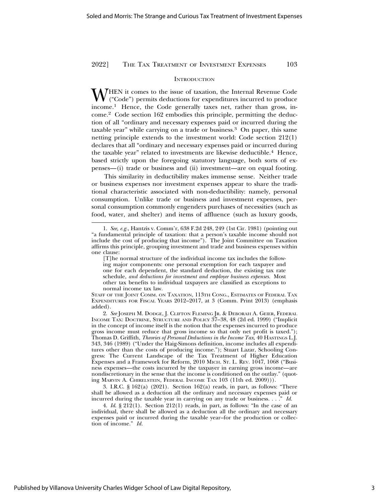#### **INTRODUCTION**

M HEN it comes to the issue of taxation, the Internal Revenue Code ("Code") permits deductions for expenditures incurred to produce income.1 Hence, the Code generally taxes net, rather than gross, income.2 Code section 162 embodies this principle, permitting the deduction of all "ordinary and necessary expenses paid or incurred during the taxable year" while carrying on a trade or business.<sup>3</sup> On paper, this same netting principle extends to the investment world: Code section 212(1) declares that all "ordinary and necessary expenses paid or incurred during the taxable year" related to investments are likewise deductible.<sup>4</sup> Hence, based strictly upon the foregoing statutory language, both sorts of expenses—(i) trade or business and (ii) investment—are on equal footing.

This similarity in deductibility makes immense sense. Neither trade or business expenses nor investment expenses appear to share the traditional characteristic associated with non-deductibility: namely, personal consumption. Unlike trade or business and investment expenses, personal consumption commonly engenders purchases of necessities (such as food, water, and shelter) and items of affluence (such as luxury goods,

STAFF OF THE JOINT COMM. ON TAXATION, 113TH CONG., ESTIMATES OF FEDERAL TAX EXPENDITURES FOR FISCAL YEARS 2012–2017, at 3 (Comm. Print 2013) (emphasis added).

2. *See* JOSEPH M. DODGE, J. CLIFTON FLEMING JR. & DEBORAH A. GEIER, FEDERAL INCOME TAX: DOCTRINE, STRUCTURE AND POLICY 37–38, 48 (2d ed. 1999) ("Implicit in the concept of income itself is the notion that the expenses incurred to produce gross income must reduce that gross income so that only net profit is taxed."); Thomas D. Griffith, *Theories of Personal Deductions in the Income Tax*, 40 HASTINGS L.J. 343, 346 (1989) ("Under the Haig-Simons definition, income includes all expenditures other than the costs of producing income."); Stuart Lazar, Schooling Congress: The Current Landscape of the Tax Treatment of Higher Education Expenses and a Framework for Reform, 2010 MICH. ST. L. REV. 1047, 1068 ("Business expenses—the costs incurred by the taxpayer in earning gross income—are nondiscretionary in the sense that the income is conditioned on the outlay." (quoting MARVIN A. CHIRELSTEIN, FEDERAL INCOME TAX 103 (11th ed. 2009))).

3. I.R.C. § 162(a) (2021). Section 162(a) reads, in part, as follows: "There shall be allowed as a deduction all the ordinary and necessary expenses paid or incurred during the taxable year in carrying on any trade or business. . . ." *Id.*

4. *Id*. § 212(1). Section 212(1) reads, in part, as follows: "In the case of an individual, there shall be allowed as a deduction all the ordinary and necessary expenses paid or incurred during the taxable year–for the production or collection of income." *Id.*

<sup>1.</sup> *See, e.g.*, Hantzis v. Comm'r, 638 F.2d 248, 249 (1st Cir. 1981) (pointing out "a fundamental principle of taxation: that a person's taxable income should not include the cost of producing that income"). The Joint Committee on Taxation affirms this principle, grouping investment and trade and business expenses within one clause:

<sup>[</sup>T]he normal structure of the individual income tax includes the following major components: one personal exemption for each taxpayer and one for each dependent, the standard deduction, the existing tax rate schedule, *and deductions for investment and employee business expenses*. Most other tax benefits to individual taxpayers are classified as exceptions to normal income tax law.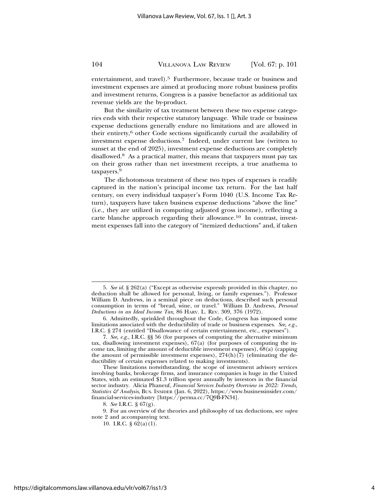entertainment, and travel).<sup>5</sup> Furthermore, because trade or business and investment expenses are aimed at producing more robust business profits and investment returns, Congress is a passive benefactor as additional tax revenue yields are the by-product.

But the similarity of tax treatment between these two expense categories ends with their respective statutory language. While trade or business expense deductions generally endure no limitations and are allowed in their entirety,6 other Code sections significantly curtail the availability of investment expense deductions.7 Indeed, under current law (written to sunset at the end of 2025), investment expense deductions are completely disallowed.8 As a practical matter, this means that taxpayers must pay tax on their gross rather than net investment receipts, a true anathema to taxpayers.<sup>9</sup>

The dichotomous treatment of these two types of expenses is readily captured in the nation's principal income tax return. For the last half century, on every individual taxpayer's Form 1040 (U.S. Income Tax Return), taxpayers have taken business expense deductions "above the line" (i.e., they are utilized in computing adjusted gross income), reflecting a carte blanche approach regarding their allowance.<sup>10</sup> In contrast, investment expenses fall into the category of "itemized deductions" and, if taken

<sup>5.</sup> *See id.* § 262(a) ("Except as otherwise expressly provided in this chapter, no deduction shall be allowed for personal, living, or family expenses."). Professor William D. Andrews, in a seminal piece on deductions, described such personal consumption in terms of "bread, wine, or travel." William D. Andrews, *Personal Deductions in an Ideal Income Tax*, 86 HARV. L. REV. 309, 376 (1972).

<sup>6.</sup> Admittedly, sprinkled throughout the Code, Congress has imposed some limitations associated with the deductibility of trade or business expenses. *See, e.g.*, I.R.C. § 274 (entitled "Disallowance of certain entertainment, etc., expenses").

<sup>7.</sup> *See, e.g.*, I.R.C. §§ 56 (for purposes of computing the alternative minimum tax, disallowing investment expenses), 67(a) (for purposes of computing the income tax, limiting the amount of deductible investment expenses), 68(a) (capping the amount of permissible investment expenses),  $274(h)(7)$  (eliminating the deductibility of certain expenses related to making investments).

These limitations notwithstanding, the scope of investment advisory services involving banks, brokerage firms, and insurance companies is huge in the United States, with an estimated \$1.3 trillion spent annually by investors in the financial sector industry. Alicia Phaneuf, *Financial Services Industry Overview in 2022: Trends, Statistics & Analysis*, BUS. INSIDER (Jan. 6, 2022), https://www.businessinsider.com/ financial-services-industry [https://perma.cc/7Q9B-FN34].

<sup>8.</sup> *See* I.R.C. § 67(g).

<sup>9.</sup> For an overview of the theories and philosophy of tax deductions, see *supra* note 2 and accompanying text.

<sup>10.</sup> I.R.C. § 62(a)(1).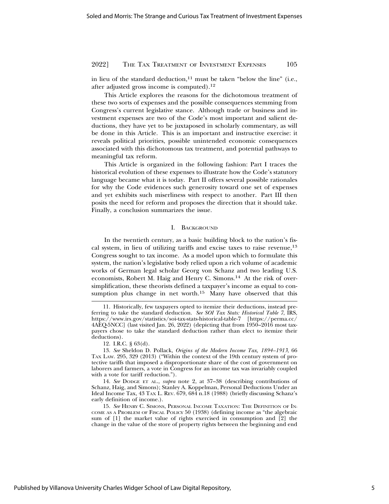in lieu of the standard deduction, $11$  must be taken "below the line" (i.e., after adjusted gross income is computed).12

This Article explores the reasons for the dichotomous treatment of these two sorts of expenses and the possible consequences stemming from Congress's current legislative stance. Although trade or business and investment expenses are two of the Code's most important and salient deductions, they have yet to be juxtaposed in scholarly commentary, as will be done in this Article. This is an important and instructive exercise: it reveals political priorities, possible unintended economic consequences associated with this dichotomous tax treatment, and potential pathways to meaningful tax reform.

This Article is organized in the following fashion: Part I traces the historical evolution of these expenses to illustrate how the Code's statutory language became what it is today. Part II offers several possible rationales for why the Code evidences such generosity toward one set of expenses and yet exhibits such miserliness with respect to another. Part III then posits the need for reform and proposes the direction that it should take. Finally, a conclusion summarizes the issue.

#### I. BACKGROUND

In the twentieth century, as a basic building block to the nation's fiscal system, in lieu of utilizing tariffs and excise taxes to raise revenue,<sup>13</sup> Congress sought to tax income. As a model upon which to formulate this system, the nation's legislative body relied upon a rich volume of academic works of German legal scholar Georg von Schanz and two leading U.S. economists, Robert M. Haig and Henry C. Simons.14 At the risk of oversimplification, these theorists defined a taxpayer's income as equal to consumption plus change in net worth.<sup>15</sup> Many have observed that this

14. *See* DODGE ET AL., *supra* note 2, at 37–38 (describing contributions of Schanz, Haig, and Simons); Stanley A. Koppelman, Personal Deductions Under an Ideal Income Tax, 43 TAX L. REV. 679, 684 n.18 (1988) (briefly discussing Schanz's early definition of income.).

15. *See* HENRY C. SIMONS, PERSONAL INCOME TAXATION: THE DEFINITION OF IN-COME AS A PROBLEM OF FISCAL POLICY 50 (1938) (defining income as "the algebraic sum of [1] the market value of rights exercised in consumption and [2] the change in the value of the store of property rights between the beginning and end

<sup>11.</sup> Historically, few taxpayers opted to itemize their deductions, instead preferring to take the standard deduction. *See SOI Tax Stats: Historical Table 7*, IRS, https://www.irs.gov/statistics/soi-tax-stats-historical-table-7 [https://perma.cc/ 4AEQ-5NCC] (last visited Jan. 26, 2022) (depicting that from 1950–2016 most taxpayers chose to take the standard deduction rather than elect to itemize their deductions).

<sup>12.</sup> I.R.C. § 63(d).

<sup>13.</sup> *See* Sheldon D. Pollack, *Origins of the Modern Income Tax, 1894–1913*, 66 TAX LAW. 295, 329 (2013) ("Within the context of the 19th century system of protective tariffs that imposed a disproportionate share of the cost of government on laborers and farmers, a vote in Congress for an income tax was invariably coupled with a vote for tariff reduction.").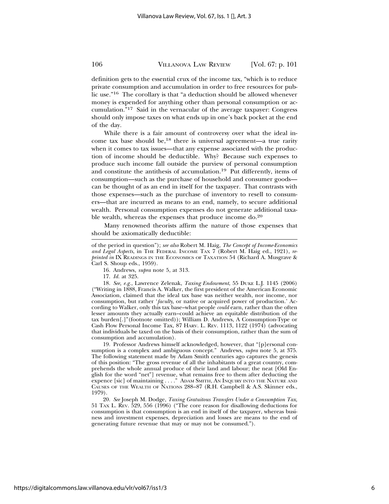definition gets to the essential crux of the income tax, "which is to reduce private consumption and accumulation in order to free resources for public use."16 The corollary is that "a deduction should be allowed whenever money is expended for anything other than personal consumption or accumulation."17 Said in the vernacular of the average taxpayer: Congress should only impose taxes on what ends up in one's back pocket at the end of the day.

While there is a fair amount of controversy over what the ideal income tax base should be,18 there is universal agreement—a true rarity when it comes to tax issues—that any expense associated with the production of income should be deductible. Why? Because such expenses to produce such income fall outside the purview of personal consumption and constitute the antithesis of accumulation.19 Put differently, items of consumption—such as the purchase of household and consumer goods can be thought of as an end in itself for the taxpayer. That contrasts with those expenses—such as the purchase of inventory to resell to consumers—that are incurred as means to an end, namely, to secure additional wealth. Personal consumption expenses do not generate additional taxable wealth, whereas the expenses that produce income do.<sup>20</sup>

Many renowned theorists affirm the nature of those expenses that should be axiomatically deductible:

16. Andrews, *supra* note 5, at 313.

17. *Id.* at 325.

18. *See, e.g.*, Lawrence Zelenak, *Taxing Endowment*, 55 DUKE L.J. 1145 (2006) ("Writing in 1888, Francis A. Walker, the first president of the American Economic Association, claimed that the ideal tax base was neither wealth, nor income, nor consumption, but rather '*faculty*, or native or acquired power of production.' According to Walker, only this tax base–what people *could* earn, rather than the often lesser amounts they actually earn–could achieve an equitable distribution of the tax burden[.]"(footnote omitted)); William D. Andrews, A Consumption-Type or Cash Flow Personal Income Tax, 87 HARV. L. REV. 1113, 1122 (1974) (advocating that individuals be taxed on the basis of their consumption, rather than the sum of consumption and accumulation).

19. Professor Andrews himself acknowledged, however, that "[p]ersonal consumption is a complex and ambiguous concept." Andrews, *supra* note 5, at 375. The following statement made by Adam Smith centuries ago captures the genesis of this position: "The gross revenue of all the inhabitants of a great country, comprehends the whole annual produce of their land and labour; the neat [Old English for the word "net"] revenue, what remains free to them after deducting the expence [sic] of maintaining . . . ." ADAM SMITH, AN INQUIRY INTO THE NATURE AND CAUSES OF THE WEALTH OF NATIONS 288–87 (R.H. Campbell & A.S. Skinner eds., 1979).

20. *See* Joseph M. Dodge, *Taxing Gratuitous Transfers Under a Consumption Tax*, 51 TAX L. REV. 529, 556 (1996) ("The core reason for disallowing deductions for consumption is that consumption is an end in itself of the taxpayer, whereas business and investment expenses, depreciation and losses are means to the end of generating future revenue that may or may not be consumed.").

of the period in question"); *see also* Robert M. Haig, *The Concept of Income-Economics and Legal Aspects*, in THE FEDERAL INCOME TAX 7 (Robert M. Haig ed., 1921), *reprinted in* IX READINGS IN THE ECONOMICS OF TAXATION 54 (Richard A. Musgrave & Carl S. Shoup eds., 1959).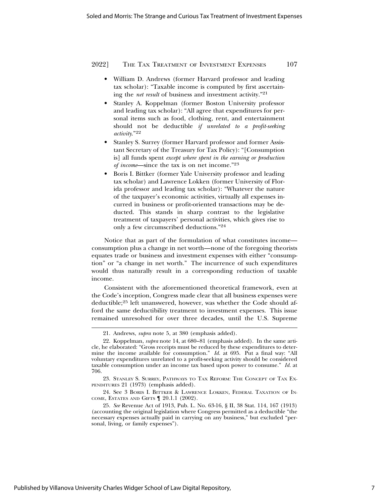- William D. Andrews (former Harvard professor and leading tax scholar): "Taxable income is computed by first ascertaining the *net result* of business and investment activity."21
- Stanley A. Koppelman (former Boston University professor and leading tax scholar): "All agree that expenditures for personal items such as food, clothing, rent, and entertainment should not be deductible *if unrelated to a profit-seeking activity*."<sup>22</sup>
- Stanley S. Surrey (former Harvard professor and former Assistant Secretary of the Treasury for Tax Policy): "[Consumption is] all funds spent *except where spent in the earning or production of income*—since the tax is on net income."<sup>23</sup>
- Boris I. Bittker (former Yale University professor and leading tax scholar) and Lawrence Lokken (former University of Florida professor and leading tax scholar): "Whatever the nature of the taxpayer's economic activities, virtually all expenses incurred in business or profit-oriented transactions may be deducted. This stands in sharp contrast to the legislative treatment of taxpayers' personal activities, which gives rise to only a few circumscribed deductions."24

Notice that as part of the formulation of what constitutes income consumption plus a change in net worth—none of the foregoing theorists equates trade or business and investment expenses with either "consumption" or "a change in net worth." The incurrence of such expenditures would thus naturally result in a corresponding reduction of taxable income.

Consistent with the aforementioned theoretical framework, even at the Code's inception, Congress made clear that all business expenses were deductible;25 left unanswered, however, was whether the Code should afford the same deductibility treatment to investment expenses. This issue remained unresolved for over three decades, until the U.S. Supreme

<sup>21.</sup> Andrews, *supra* note 5, at 380 (emphasis added).

<sup>22.</sup> Koppelman, *supra* note 14, at 680–81 (emphasis added). In the same article, he elaborated: "Gross receipts must be reduced by these expenditures to determine the income available for consumption." *Id.* at 695. Put a final way: "All voluntary expenditures unrelated to a profit-seeking activity should be considered taxable consumption under an income tax based upon power to consume." *Id.* at 706.

<sup>23.</sup> STANLEY S. SURREY, PATHWAYS TO TAX REFORM: THE CONCEPT OF TAX EX-PENDITURES 21 (1973) (emphasis added).

<sup>24.</sup> See 3 BORIS I. BITTKER & LAWRENCE LOKKEN, FEDERAL TAXATION OF IN-COME, ESTATES AND GIFTS ¶ 20.1.1 (2002).

<sup>25.</sup> *See* Revenue Act of 1913, Pub. L. No. 63-16, § II, 38 Stat. 114, 167 (1913) (accounting the original legislation where Congress permitted as a deductible "the necessary expenses actually paid in carrying on any business," but excluded "personal, living, or family expenses").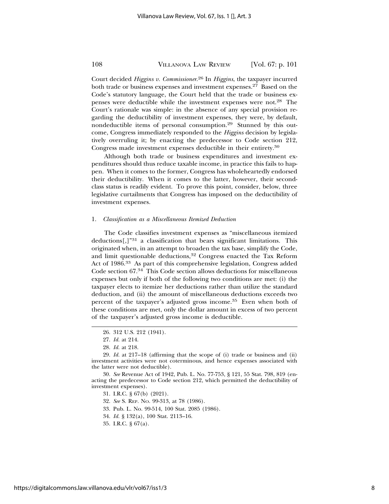Court decided *Higgins v. Commissioner*. 26 In *Higgins*, the taxpayer incurred both trade or business expenses and investment expenses.<sup>27</sup> Based on the Code's statutory language, the Court held that the trade or business expenses were deductible while the investment expenses were not.28 The Court's rationale was simple: in the absence of any special provision regarding the deductibility of investment expenses, they were, by default, nondeductible items of personal consumption.29 Stunned by this outcome, Congress immediately responded to the *Higgins* decision by legislatively overruling it; by enacting the predecessor to Code section 212, Congress made investment expenses deductible in their entirety.30

Although both trade or business expenditures and investment expenditures should thus reduce taxable income, in practice this fails to happen. When it comes to the former, Congress has wholeheartedly endorsed their deductibility. When it comes to the latter, however, their secondclass status is readily evident. To prove this point, consider, below, three legislative curtailments that Congress has imposed on the deductibility of investment expenses.

#### 1. *Classification as a Miscellaneous Itemized Deduction*

The Code classifies investment expenses as "miscellaneous itemized deductions $\left[\right]$ <sup>"31</sup> a classification that bears significant limitations. This originated when, in an attempt to broaden the tax base, simplify the Code, and limit questionable deductions,<sup>32</sup> Congress enacted the Tax Reform Act of 1986.33 As part of this comprehensive legislation, Congress added Code section 67.34 This Code section allows deductions for miscellaneous expenses but only if both of the following two conditions are met: (i) the taxpayer elects to itemize her deductions rather than utilize the standard deduction, and (ii) the amount of miscellaneous deductions exceeds two percent of the taxpayer's adjusted gross income.35 Even when both of these conditions are met, only the dollar amount in excess of two percent of the taxpayer's adjusted gross income is deductible.

30. *See* Revenue Act of 1942, Pub. L. No. 77-753, § 121, 55 Stat. 798, 819 (enacting the predecessor to Code section 212, which permitted the deductibility of investment expenses).

32. *See* S. REP. NO. 99-313, at 78 (1986).

- 33. Pub. L. No. 99-514, 100 Stat. 2085 (1986).
- 34. *Id.* § 132(a), 100 Stat. 2113–16.
- 35. I.R.C. § 67(a).

<sup>26. 312</sup> U.S. 212 (1941).

<sup>27.</sup> *Id.* at 214.

<sup>28.</sup> *Id.* at 218.

<sup>29.</sup> *Id.* at 217–18 (affirming that the scope of (i) trade or business and (ii) investment activities were not coterminous, and hence expenses associated with the latter were not deductible).

<sup>31.</sup> I.R.C. § 67(b) (2021).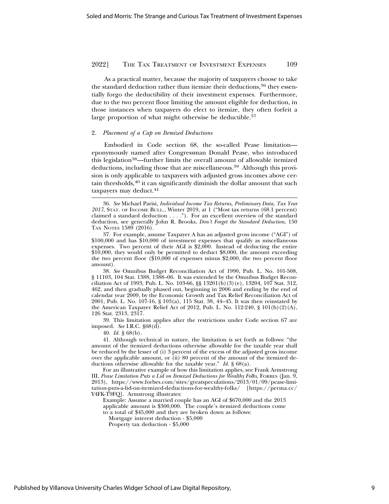As a practical matter, because the majority of taxpayers choose to take the standard deduction rather than itemize their deductions,<sup>36</sup> they essentially forgo the deductibility of their investment expenses. Furthermore, due to the two percent floor limiting the amount eligible for deduction, in those instances when taxpayers do elect to itemize, they often forfeit a large proportion of what might otherwise be deductible.<sup>37</sup>

#### 2. *Placement of a Cap on Itemized Deductions*

Embodied in Code section 68, the so-called Pease limitation eponymously named after Congressman Donald Pease, who introduced this legislation<sup>38</sup>—further limits the overall amount of allowable itemized deductions, including those that are miscellaneous.<sup>39</sup> Although this provision is only applicable to taxpayers with adjusted gross incomes above certain thresholds, $40$  it can significantly diminish the dollar amount that such taxpayers may deduct.<sup>41</sup>

38. *See* Omnibus Budget Reconciliation Act of 1990, Pub. L. No. 101-508, § 11103, 104 Stat. 1388, 1388–06. It was extended by the Omnibus Budget Reconciliation Act of 1993, Pub. L. No. 103-66, §§ 13201(b)(3)(e), 13204, 107 Stat. 312, 462, and then gradually phased out, beginning in 2006 and ending by the end of calendar year 2009, by the Economic Growth and Tax Relief Reconciliation Act of 2001, Pub. L. No. 107-16, § 103(a), 115 Stat. 38, 44–45. It was then reinstated by the American Taxpayer Relief Act of 2012, Pub. L. No. 112-240, §  $101(b)(2)(A)$ , 126 Stat. 2313, 2317.

39. This limitation applies after the restrictions under Code section 67 are imposed. *See* I.R.C. §68(d).

40. *Id.* § 68(b).

41. Although technical in nature, the limitation is set forth as follows: "the amount of the itemized deductions otherwise allowable for the taxable year shall be reduced by the lesser of (i) 3 percent of the excess of the adjusted gross income over the applicable amount, or  $\overline{d}$  (ii) 80 percent of the amount of the itemized deductions otherwise allowable for the taxable year." *Id.* § 68(a).

For an illustrative example of how this limitation applies, see Frank Armstrong III, *Pease Limitation Puts a Lid on Itemized Deductions for Wealthy Folks*, FORBES (Jan. 9, 2013), https://www.forbes.com/sites/greatspeculations/2013/01/09/pease-limitation-puts-a-lid-on-itemized-deductions-for-wealthy-folks/ [https://perma.cc/ Y4FK-T9FQ]. Armstrong illustrates:

Example: Assume a married couple has an AGI of \$670,000 and the 2013 applicable amount is \$300,000. The couple's itemized deductions come

to a total of \$45,000 and they are broken down as follows:

Mortgage interest deduction - \$5,000

Property tax deduction - \$5,000

<sup>36.</sup> *See* Michael Parisi, *Individual Income Tax Returns, Preliminary Data, Tax Year 2017*, STAT. OF INCOME BULL., Winter 2019, at 1 ("Most tax returns (68.1 percent) claimed a standard deduction  $\dots$ ."). For an excellent overview of the standard deduction, see generally John R. Brooks, *Don't Forget the Standard Deduction,* 150 TAX NOTES 1589 (2016).

<sup>37.</sup> For example, assume Taxpayer A has an adjusted gross income ("AGI") of \$100,000 and has \$10,000 of investment expenses that qualify as miscellaneous expenses. Two percent of their AGI is \$2,000. Instead of deducting the entire \$10,000, they would only be permitted to deduct \$8,000, the amount exceeding the two percent floor (\$10,000 of expenses minus \$2,000, the two percent floor amount).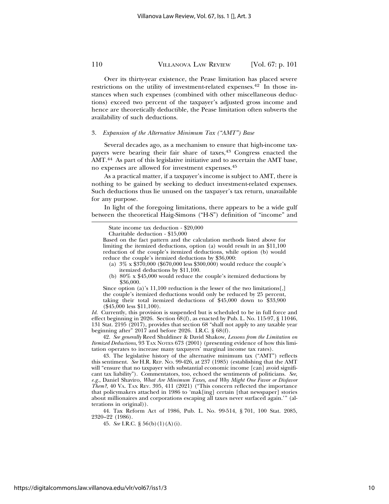Over its thirty-year existence, the Pease limitation has placed severe restrictions on the utility of investment-related expenses.<sup>42</sup> In those instances when such expenses (combined with other miscellaneous deductions) exceed two percent of the taxpayer's adjusted gross income and hence are theoretically deductible, the Pease limitation often subverts the availability of such deductions.

#### 3. *Expansion of the Alternative Minimum Tax ("AMT") Base*

Several decades ago, as a mechanism to ensure that high-income taxpayers were bearing their fair share of taxes,43 Congress enacted the AMT.44 As part of this legislative initiative and to ascertain the AMT base, no expenses are allowed for investment expenses.45

As a practical matter, if a taxpayer's income is subject to AMT, there is nothing to be gained by seeking to deduct investment-related expenses. Such deductions thus lie unused on the taxpayer's tax return, unavailable for any purpose.

In light of the foregoing limitations, there appears to be a wide gulf between the theoretical Haig-Simons ("H-S") definition of "income" and

- (a) 3% x \$370,000 (\$670,000 less \$300,000) would reduce the couple's itemized deductions by \$11,100.
- (b) 80% x \$45,000 would reduce the couple's itemized deductions by \$36,000.

Since option (a)'s 11,100 reduction is the lesser of the two limitations[,] the couple's itemized deductions would only be reduced by 25 percent, taking their total itemized deductions of \$45,000 down to \$33,900 (\$45,000 less \$11,100).

*Id.* Currently, this provision is suspended but is scheduled to be in full force and effect beginning in 2026. Section 68(f), as enacted by Pub. L. No. 115-97, § 11046, 131 Stat. 2195 (2017), provides that section 68 "shall not apply to any taxable year beginning after" 2017 and before 2026. I.R.C. § 68(f).

42. *See generally* Reed Shuldiner & David Shakow, *Lessons from the Limitation on Itemized Deductions*, 93 TAX NOTES 673 (2001) (presenting evidence of how this limitation operates to increase many taxpayers' marginal income tax rates).

43. The legislative history of the alternative minimum tax ("AMT") reflects this sentiment. *See* H.R. REP. NO. 99-426, at 237 (1985) (establishing that the AMT will "ensure that no taxpayer with substantial economic income [can] avoid significant tax liability"). Commentators, too, echoed the sentiments of politicians. *See, e.g.*, Daniel Shaviro, *What Are Minimum Taxes, and Why Might One Favor or Disfavor Them?*, 40 VA. TAX REV. 395, 411 (2021) ("This concern reflected the importance" that policymakers attached in 1986 to 'mak[ing] certain [that newspaper] stories about millionaires and corporations escaping all taxes never surfaced again.'" (alterations in original)).

44. Tax Reform Act of 1986, Pub. L. No. 99-514, § 701, 100 Stat. 2085, 2320–22 (1986).

45. *See* I.R.C. § 56(b)(1)(A)(i).

State income tax deduction - \$20,000

Charitable deduction - \$15,000

Based on the fact pattern and the calculation methods listed above for limiting the itemized deductions, option (a) would result in an \$11,100 reduction of the couple's itemized deductions, while option (b) would reduce the couple's itemized deductions by \$36,000: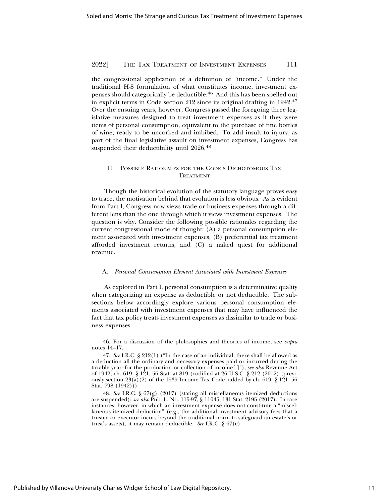the congressional application of a definition of "income." Under the traditional H-S formulation of what constitutes income, investment expenses should categorically be deductible.<sup>46</sup> And this has been spelled out in explicit terms in Code section 212 since its original drafting in 1942.47 Over the ensuing years, however, Congress passed the foregoing three legislative measures designed to treat investment expenses as if they were items of personal consumption, equivalent to the purchase of fine bottles of wine, ready to be uncorked and imbibed. To add insult to injury, as part of the final legislative assault on investment expenses, Congress has suspended their deductibility until 2026.48

# II. POSSIBLE RATIONALES FOR THE CODE'S DICHOTOMOUS TAX **TREATMENT**

Though the historical evolution of the statutory language proves easy to trace, the motivation behind that evolution is less obvious. As is evident from Part I, Congress now views trade or business expenses through a different lens than the one through which it views investment expenses. The question is why. Consider the following possible rationales regarding the current congressional mode of thought: (A) a personal consumption element associated with investment expenses, (B) preferential tax treatment afforded investment returns, and (C) a naked quest for additional revenue.

#### A. *Personal Consumption Element Associated with Investment Expenses*

As explored in Part I, personal consumption is a determinative quality when categorizing an expense as deductible or not deductible. The subsections below accordingly explore various personal consumption elements associated with investment expenses that may have influenced the fact that tax policy treats investment expenses as dissimilar to trade or business expenses.

<sup>46.</sup> For a discussion of the philosophies and theories of income, see *supra* notes 14–17.

<sup>47.</sup> *See* I.R.C. § 212(1) ("In the case of an individual, there shall be allowed as a deduction all the ordinary and necessary expenses paid or incurred during the taxable year–for the production or collection of income[.]"); *see also* Revenue Act of 1942, ch. 619, § 121, 56 Stat. at 819 (codified at 26 U.S.C. § 212 (2012) (previously section  $23(a)(2)$  of the 1939 Income Tax Code, added by ch. 619, § 121, 56 Stat. 798 (1942))).

<sup>48.</sup> *See* I.R.C. § 67(g) (2017) (stating all miscellaneous itemized deductions are suspended); *see also* Pub. L. No. 115-97, § 11045, 131 Stat. 2195 (2017). In rare instances, however, in which an investment expense does not constitute a "miscellaneous itemized deduction" (e.g., the additional investment advisory fees that a trustee or executor incurs beyond the traditional norm to safeguard an estate's or trust's assets), it may remain deductible. *See* I.R.C. § 67(e).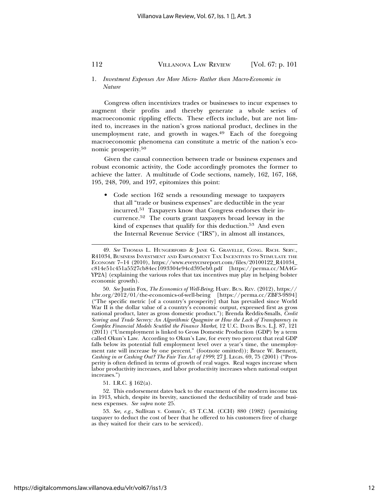### 1. *Investment Expenses Are More Micro- Rather than Macro-Economic in Nature*

Congress often incentivizes trades or businesses to incur expenses to augment their profits and thereby generate a whole series of macroeconomic rippling effects. These effects include, but are not limited to, increases in the nation's gross national product, declines in the unemployment rate, and growth in wages.<sup>49</sup> Each of the foregoing macroeconomic phenomena can constitute a metric of the nation's economic prosperity.50

Given the causal connection between trade or business expenses and robust economic activity, the Code accordingly promotes the former to achieve the latter. A multitude of Code sections, namely, 162, 167, 168, 195, 248, 709, and 197, epitomizes this point:

• Code section 162 sends a resounding message to taxpayers that all "trade or business expenses" are deductible in the year incurred.51 Taxpayers know that Congress endorses their incurrence.52 The courts grant taxpayers broad leeway in the kind of expenses that qualify for this deduction.<sup>53</sup> And even the Internal Revenue Service ("IRS"), in almost all instances,

51. I.R.C. § 162(a).

<sup>49.</sup> *See* THOMAS L. HUNGERFORD & JANE G. GRAVELLE, CONG. RSCH. SERV., R41034, BUSINESS INVESTMENT AND EMPLOYMENT TAX INCENTIVES TO STIMULATE THE ECONOMY 7–14 (2010), https://www.everycrsreport.com/files/20100122\_R41034\_ c814e51c451a5527cb84ec1093304e94cd395eb0.pdf [https://perma.cc/MA4G-YP2A] (explaining the various roles that tax incentives may play in helping bolster economic growth).

<sup>50.</sup> *See* Justin Fox, *The Economics of Well-Being*, HARV. BUS. REV. (2012), https:// hbr.org/2012/01/the-economics-of-well-being [https://perma.cc/ZBF3-9S94] ("The specific metric [of a country's prosperity] that has prevailed since World War II is the dollar value of a country's economic output, expressed first as gross national product, later as gross domestic product."); Brenda Reddix-Smalls, *Credit Scoring and Trade Secrecy: An Algorithmic Quagmire or How the Lack of Transparency in Complex Financial Models Scuttled the Finance Market*, 12 U.C. DAVIS BUS. L.J. 87, 121 (2011) ("Unemployment is linked to Gross Domestic Production (GDP) by a term called Okun's Law. According to Okun's Law, for every two percent that real GDP falls below its potential full employment level over a year's time, the unemployment rate will increase by one percent." (footnote omitted)); Bruce W. Bennett, *Cashing in or Cashing Out? The Fair Tax Act of 1999*, 27 J. LEGIS. 69, 75 (2001) ("Prosperity is often defined in terms of growth of real wages. Real wages increase when labor productivity increases, and labor productivity increases when national output increases.")

<sup>52.</sup> This endorsement dates back to the enactment of the modern income tax in 1913, which, despite its brevity, sanctioned the deductibility of trade and business expenses. *See supra* note 25.

<sup>53.</sup> *See, e.g.*, Sullivan v. Comm'r, 43 T.C.M. (CCH) 880 (1982) (permitting taxpayer to deduct the cost of beer that he offered to his customers free of charge as they waited for their cars to be serviced).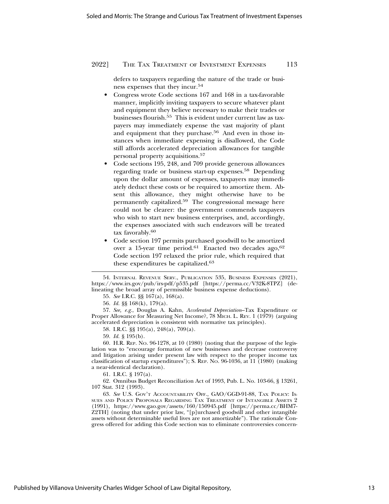defers to taxpayers regarding the nature of the trade or business expenses that they incur.54

- Congress wrote Code sections 167 and 168 in a tax-favorable manner, implicitly inviting taxpayers to secure whatever plant and equipment they believe necessary to make their trades or businesses flourish.55 This is evident under current law as taxpayers may immediately expense the vast majority of plant and equipment that they purchase.<sup>56</sup> And even in those instances when immediate expensing is disallowed, the Code still affords accelerated depreciation allowances for tangible personal property acquisitions.57
- Code sections 195, 248, and 709 provide generous allowances regarding trade or business start-up expenses.58 Depending upon the dollar amount of expenses, taxpayers may immediately deduct these costs or be required to amortize them. Absent this allowance, they might otherwise have to be permanently capitalized.59 The congressional message here could not be clearer: the government commends taxpayers who wish to start new business enterprises, and, accordingly, the expenses associated with such endeavors will be treated tax favorably.60
- Code section 197 permits purchased goodwill to be amortized over a 15-year time period.<sup>61</sup> Enacted two decades ago,<sup>62</sup> Code section 197 relaxed the prior rule, which required that these expenditures be capitalized.<sup>63</sup>

55. *See* I.R.C. §§ 167(a), 168(a).

56. *Id.* §§ 168(k), 179(a).

57. *See, e.g.*, Douglas A. Kahn, *Accelerated Depreciation*–Tax Expenditure or Proper Allowance for Measuring Net Income?, 78 MICH. L. REV. 1 (1979) (arguing accelerated depreciation is consistent with normative tax principles).

58. I.R.C. §§ 195(a), 248(a), 709(a).

59. *Id.* § 195(b).

60. H.R. REP. NO. 96-1278, at 10 (1980) (noting that the purpose of the legislation was to "encourage formation of new businesses and decrease controversy and litigation arising under present law with respect to the proper income tax classification of startup expenditures"); S. REP. NO. 96-1036, at 11 (1980) (making a near-identical declaration).

61. I.R.C. § 197(a).

62. Omnibus Budget Reconciliation Act of 1993, Pub. L. No. 103-66, § 13261, 107 Stat. 312 (1993).

63. *See* U.S. GOV'T ACCOUNTABILITY OFF., GAO/GGD-91-88, TAX POLICY: IS-SUES AND POLICY PROPOSALS REGARDING TAX TREATMENT OF INTANGIBLE ASSETS 2 (1991), https://www.gao.gov/assets/160/150945.pdf [https://perma.cc/BHM7- Z2TH] (noting that under prior law, "[p]urchased goodwill and other intangible assets without determinable useful lives are not amortizable"). The rationale Congress offered for adding this Code section was to eliminate controversies concern-

<sup>54.</sup> INTERNAL REVENUE SERV., PUBLICATION 535, BUSINESS EXPENSES (2021), https://www.irs.gov/pub/irs-pdf/p535.pdf [https://perma.cc/V32K-8TPZ] (delineating the broad array of permissible business expense deductions).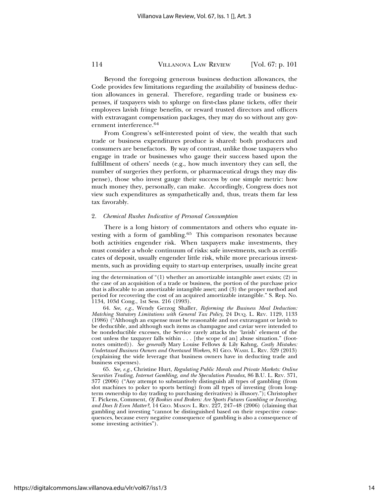Beyond the foregoing generous business deduction allowances, the Code provides few limitations regarding the availability of business deduction allowances in general. Therefore, regarding trade or business expenses, if taxpayers wish to splurge on first-class plane tickets, offer their employees lavish fringe benefits, or reward trusted directors and officers with extravagant compensation packages, they may do so without any government interference.64

From Congress's self-interested point of view, the wealth that such trade or business expenditures produce is shared: both producers and consumers are benefactors. By way of contrast, unlike those taxpayers who engage in trade or businesses who gauge their success based upon the fulfillment of others' needs (e.g., how much inventory they can sell, the number of surgeries they perform, or pharmaceutical drugs they may dispense), those who invest gauge their success by one simple metric: how much money they, personally, can make. Accordingly, Congress does not view such expenditures as sympathetically and, thus, treats them far less tax favorably.

#### 2. *Chemical Rushes Indicative of Personal Consumption*

There is a long history of commentators and others who equate investing with a form of gambling.<sup>65</sup> This comparison resonates because both activities engender risk. When taxpayers make investments, they must consider a whole continuum of risks: safe investments, such as certificates of deposit, usually engender little risk, while more precarious investments, such as providing equity to start-up enterprises, usually incite great

65. *See, e.g.*, Christine Hurt, *Regulating Public Morals and Private Markets: Online Securities Trading, Internet Gambling, and the Speculation Paradox*, 86 B.U. L. REV. 371, 377 (2006) ("Any attempt to substantively distinguish all types of gambling (from slot machines to poker to sports betting) from all types of investing (from longterm ownership to day trading to purchasing derivatives) is illusory."); Christopher T. Pickens, Comment, *Of Bookies and Brokers: Are Sports Futures Gambling or Investing, and Does It Even Matter?*, 14 GEO. MASON L. REV. 227, 247–48 (2006) (claiming that gambling and investing "cannot be distinguished based on their respective consequences, because every negative consequence of gambling is also a consequence of some investing activities").

ing the determination of " $(1)$  whether an amortizable intangible asset exists;  $(2)$  in the case of an acquisition of a trade or business, the portion of the purchase price that is allocable to an amortizable intangible asset; and (3) the proper method and period for recovering the cost of an acquired amortizable intangible." S. Rep. No. 1134, 103d Cong., 1st Sess. 216 (1993).

<sup>64.</sup> *See, e.g.*, Wendy Gerzog Shaller, *Reforming the Business Meal Deduction: Matching Statutory Limitations with General Tax Policy*, 24 DUQ. L. REV. 1129, 1133 (1986) ("Although an expense must be reasonable and not extravagant or lavish to be deductible, and although such items as champagne and caviar were intended to be nondeductible excesses, the Service rarely attacks the 'lavish' element of the cost unless the taxpayer falls within . . . [the scope of an] abuse situation." (footnotes omitted)). *See generally* Mary Louise Fellows & Lily Kahng, *Costly Mistakes: Undertaxed Business Owners and Overtaxed Workers*, 81 GEO. WASH. L. REV. 329 (2013) (explaining the wide leverage that business owners have in deducting trade and business expenses).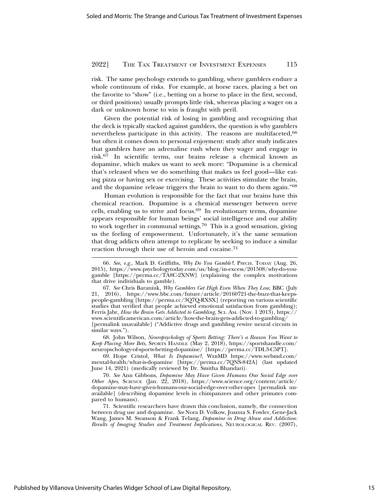risk. The same psychology extends to gambling, where gamblers endure a whole continuum of risks. For example, at horse races, placing a bet on the favorite to "show" (i.e., betting on a horse to place in the first, second, or third positions) usually prompts little risk, whereas placing a wager on a dark or unknown horse to win is fraught with peril.

Given the potential risk of losing in gambling and recognizing that the deck is typically stacked against gamblers, the question is why gamblers nevertheless participate in this activity. The reasons are multifaceted, 66 but often it comes down to personal enjoyment: study after study indicates that gamblers have an adrenaline rush when they wager and engage in risk.67 In scientific terms, our brains release a chemical known as dopamine, which makes us want to seek more: "Dopamine is a chemical that's released when we do something that makes us feel good—like eating pizza or having sex or exercising. These activities stimulate the brain, and the dopamine release triggers the brain to want to do them again."68

Human evolution is responsible for the fact that our brains have this chemical reaction. Dopamine is a chemical messenger between nerve cells, enabling us to strive and focus.69 In evolutionary terms, dopamine appears responsible for human beings' social intelligence and our ability to work together in communal settings.70 This is a good sensation, giving us the feeling of empowerment. Unfortunately, it's the same sensation that drug addicts often attempt to replicate by seeking to induce a similar reaction through their use of heroin and cocaine.<sup>71</sup>

68. John Wilson, *Neuropsychology of Sports Betting: There's a Reason You Want to Keep Placing More Bets*, SPORTS HANDLE (May 2, 2018), https://sportshandle.com/ neuropschology-of-sports-betting-dopamine/ [https://perma.cc/TDL3-C5PT].

<sup>66.</sup> *See, e.g.*, Mark D. Griffiths, *Why Do You Gamble?*, PSYCH. TODAY (Aug. 26, 2015), https://www.psychologytoday.com/us/blog/in-excess/201508/why-do-yougamble [https://perma.cc/TA8C-2XNW] (explaining the complex motivations that drive individuals to gamble).

<sup>67.</sup> *See* Chris Baraniuk, *Why Gamblers Get High Even When They Lose*, BBC (July 21, 2016), https://www.bbc.com/future/article/20160721-the-buzz-that-keepspeople-gambling [https://perma.cc/3Q7Q-RXSX] (reporting on various scientific studies that verified that people achieved emotional satisfaction from gambling); Ferris Jabr, *How the Brain Gets Addicted to Gambling*, SCI. AM. (Nov. 1 2013), https:// www.scientificamerican.com/article/how-the-brain-gets-addicted-to-gambling/ [permalink unavailable] ("Addictive drugs and gambling rewire neural circuits in similar ways.").

<sup>69.</sup> Hope Cristol, *What Is Dopamine?*, WEBMD https://www.webmd.com/ mental-health/what-is-dopamine [https://perma.cc/7QNS-842A] (last updated June 14, 2021) (medically reviewed by Dr. Smitha Bhandari).

<sup>70.</sup> *See* Ann Gibbons, *Dopamine May Have Given Humans Our Social Edge over Other Apes*, SCIENCE (Jan. 22, 2018), https://www.science.org/content/article/ dopamine-may-have-given-humans-our-social-edge-over-other-apes [permalink unavailable] (describing dopamine levels in chimpanzees and other primates compared to humans).

<sup>71.</sup> Scientific researchers have drawn this conclusion, namely, the connection between drug use and dopamine. *See* Nora D. Volkow, Joanna S. Fowler, Gene-Jack Wang, James M. Swanson & Frank Telang, *Dopamine in Drug Abuse and Addiction: Results of Imaging Studies and Treatment Implications*, NEUROLOGICAL REV. (2007),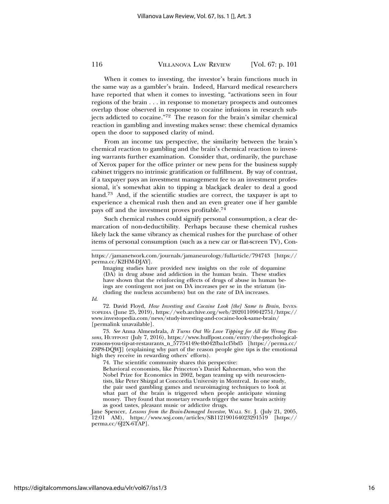When it comes to investing, the investor's brain functions much in the same way as a gambler's brain. Indeed, Harvard medical researchers have reported that when it comes to investing, "activations seen in four regions of the brain . . . in response to monetary prospects and outcomes overlap those observed in response to cocaine infusions in research subjects addicted to cocaine."72 The reason for the brain's similar chemical reaction in gambling and investing makes sense: these chemical dynamics open the door to supposed clarity of mind.

From an income tax perspective, the similarity between the brain's chemical reaction to gambling and the brain's chemical reaction to investing warrants further examination. Consider that, ordinarily, the purchase of Xerox paper for the office printer or new pens for the business supply cabinet triggers no intrinsic gratification or fulfillment. By way of contrast, if a taxpayer pays an investment management fee to an investment professional, it's somewhat akin to tipping a blackjack dealer to deal a good hand.73 And, if the scientific studies are correct, the taxpayer is apt to experience a chemical rush then and an even greater one if her gamble pays off and the investment proves profitable.74

Such chemical rushes could signify personal consumption, a clear demarcation of non-deductibility. Perhaps because these chemical rushes likely lack the same vibrancy as chemical rushes for the purchase of other items of personal consumption (such as a new car or flat-screen TV), Con-

#### *Id*.

72. David Floyd, *How Investing and Cocaine Look [the] Same to Brain*, INVES-TOPEDIA (June 25, 2019), https://web.archive.org/web/20201109042751/https:// www.investopedia.com/news/study-investing-and-cocaine-look-same-brain/ [permalink unavailable].

73. *See* Anna Almendrala, *It Turns Out We Love Tipping for All the Wrong Reasons*, HUFFPOST (July 7, 2016), https://www.huffpost.com/entry/the-psychologicalreasons-you-tip-at-restaurants\_n\_57754149e4b042fba1cf5bd5 [https://perma.cc/ Z8P8-DQWJ] (explaining why part of the reason people give tips is the emotional high they receive in rewarding others' efforts).

74. The scientific community shares this perspective:

Behavioral economists, like Princeton's Daniel Kahneman, who won the Nobel Prize for Economics in 2002, began teaming up with neuroscientists, like Peter Shizgal at Concordia University in Montreal. In one study, the pair used gambling games and neuroimaging techniques to look at what part of the brain is triggered when people anticipate winning money. They found that monetary rewards trigger the same brain activity as good tastes, pleasant music or addictive drugs.

Jane Spencer, *Lessons from the Brain-Damaged Investor*, WALL ST. J. (July 21, 2005, 12:01 AM), https://www.wsj.com/articles/SB112190164023291519 [https:// perma.cc/6J2X-6TAP].

https://jamanetwork.com/journals/jamaneurology/fullarticle/794743 [https:// perma.cc/K2HM-DJAY].

Imaging studies have provided new insights on the role of dopamine (DA) in drug abuse and addiction in the human brain. These studies have shown that the reinforcing effects of drugs of abuse in human beings are contingent not just on DA increases per se in the striatum (including the nucleus accumbens) but on the rate of DA increases.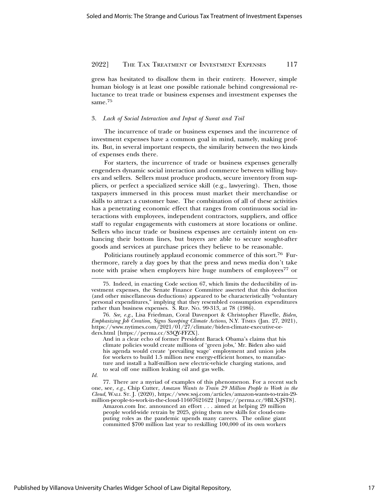gress has hesitated to disallow them in their entirety. However, simple human biology is at least one possible rationale behind congressional reluctance to treat trade or business expenses and investment expenses the same.<sup>75</sup>

#### 3. *Lack of Social Interaction and Input of Sweat and Toil*

The incurrence of trade or business expenses and the incurrence of investment expenses have a common goal in mind, namely, making profits. But, in several important respects, the similarity between the two kinds of expenses ends there.

For starters, the incurrence of trade or business expenses generally engenders dynamic social interaction and commerce between willing buyers and sellers. Sellers must produce products, secure inventory from suppliers, or perfect a specialized service skill (e.g., lawyering). Then, those taxpayers immersed in this process must market their merchandise or skills to attract a customer base. The combination of all of these activities has a penetrating economic effect that ranges from continuous social interactions with employees, independent contractors, suppliers, and office staff to regular engagements with customers at store locations or online. Sellers who incur trade or business expenses are certainly intent on enhancing their bottom lines, but buyers are able to secure sought-after goods and services at purchase prices they believe to be reasonable.

Politicians routinely applaud economic commerce of this sort.76 Furthermore, rarely a day goes by that the press and news media don't take note with praise when employers hire huge numbers of employees<sup>77</sup> or

*Id.*

77. There are a myriad of examples of this phenomenon. For a recent such one, see*, e.g.*, Chip Cutter, *Amazon Wants to Train 29 Million People to Work in the Cloud*, WALL ST. J. (2020), https://www.wsj.com/articles/amazon-wants-to-train-29 million-people-to-work-in-the-cloud-11607621622 [https://perma.cc/9BLX-JST8].

Amazon.com Inc. announced an effort . . . aimed at helping 29 million people world-wide retrain by 2025, giving them new skills for cloud-computing roles as the pandemic upends many careers. The online giant committed \$700 million last year to reskilling 100,000 of its own workers

<sup>75.</sup> Indeed, in enacting Code section 67, which limits the deductibility of investment expenses, the Senate Finance Committee asserted that this deduction (and other miscellaneous deductions) appeared to be characteristically "voluntary personal expenditures," implying that they resembled consumption expenditures rather than business expenses. S. REP. NO. 99-313, at 78 (1986).

<sup>76.</sup> *See, e.g.*, Lisa Friedman, Coral Davenport & Christopher Flavelle, *Biden, Emphasizing Job Creation, Signs Sweeping Climate Actions*, N.Y. TIMES (Jan. 27, 2021), https://www.nytimes.com/2021/01/27/climate/biden-climate-executive-orders.html [https://perma.cc/S3QY-FFZX].

And in a clear echo of former President Barack Obama's claims that his climate policies would create millions of 'green jobs,' Mr. Biden also said his agenda would create 'prevailing wage' employment and union jobs for workers to build 1.5 million new energy-efficient homes, to manufacture and install a half-million new electric-vehicle charging stations, and to seal off one million leaking oil and gas wells.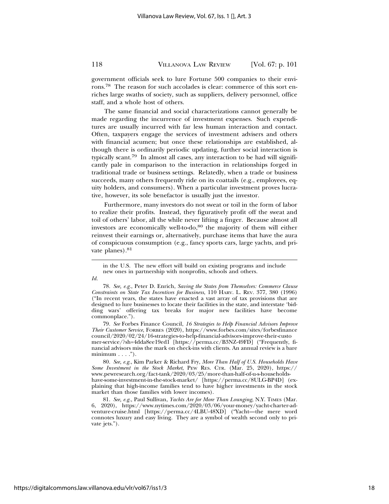government officials seek to lure Fortune 500 companies to their environs.78 The reason for such accolades is clear: commerce of this sort enriches large swaths of society, such as suppliers, delivery personnel, office staff, and a whole host of others.

The same financial and social characterizations cannot generally be made regarding the incurrence of investment expenses. Such expenditures are usually incurred with far less human interaction and contact. Often, taxpayers engage the services of investment advisers and others with financial acumen; but once these relationships are established, although there is ordinarily periodic updating, further social interaction is typically scant.79 In almost all cases, any interaction to be had will significantly pale in comparison to the interaction in relationships forged in traditional trade or business settings. Relatedly, when a trade or business succeeds, many others frequently ride on its coattails (e.g., employees, equity holders, and consumers). When a particular investment proves lucrative, however, its sole benefactor is usually just the investor.

Furthermore, many investors do not sweat or toil in the form of labor to realize their profits. Instead, they figuratively profit off the sweat and toil of others' labor, all the while never lifting a finger. Because almost all investors are economically well-to-do,<sup>80</sup> the majority of them will either reinvest their earnings or, alternatively, purchase items that have the aura of conspicuous consumption (e.g., fancy sports cars, large yachts, and private planes).<sup>81</sup>

*Id.*

78. *See, e.g.*, Peter D. Enrich, *Saving the States from Themselves: Commerce Clause Constraints on State Tax Incentives for Business*, 110 HARV. L. REV. 377, 380 (1996) ("In recent years, the states have enacted a vast array of tax provisions that are designed to lure businesses to locate their facilities in the state, and interstate 'bidding wars' offering tax breaks for major new facilities have become commonplace.").

79. *See* Forbes Finance Council, *16 Strategies to Help Financial Advisors Improve Their Customer Service*, FORBES (2020), https://www.forbes.com/sites/forbesfinance council/2020/02/24/16-strategies-to-help-financial-advisors-improve-their-custo mer-service/?sh=4dda8ee19ed1 [https://perma.cc/B3NZ-49FD] ("Frequently, financial advisors miss the mark on check-ins with clients. An annual review is a bare  $minimum \ldots$ .").

80. *See, e.g.*, Kim Parker & Richard Fry, *More Than Half of U.S. Households Have Some Investment in the Stock Market*, PEW RES. CTR. (Mar. 25, 2020), https:// www.pewresearch.org/fact-tank/2020/03/25/more-than-half-of-u-s-householdshave-some-investment-in-the-stock-market/ [https://perma.cc/8ULG-BP4D] (explaining that high-income families tend to have higher investments in the stock market than those families with lower incomes).

81. *See, e.g.*, Paul Sullivan, *Yachts Are for More Than Lounging*, N.Y. TIMES (Mar. 6, 2020), https://www.nytimes.com/2020/03/06/your-money/yacht-charter-adventure-cruise.html [https://perma.cc/4LBU-48XD] ("Yacht—the mere word connotes luxury and easy living. They are a symbol of wealth second only to private jets.").

in the U.S. The new effort will build on existing programs and include new ones in partnership with nonprofits, schools and others.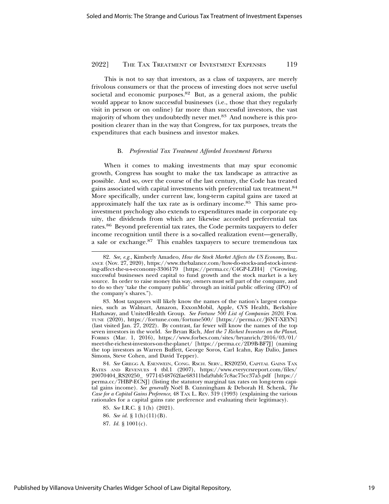This is not to say that investors, as a class of taxpayers, are merely frivolous consumers or that the process of investing does not serve useful societal and economic purposes.82 But, as a general axiom, the public would appear to know successful businesses (i.e., those that they regularly visit in person or on online) far more than successful investors, the vast majority of whom they undoubtedly never met.83 And nowhere is this proposition clearer than in the way that Congress, for tax purposes, treats the expenditures that each business and investor makes.

#### B. *Preferential Tax Treatment Afforded Investment Returns*

When it comes to making investments that may spur economic growth, Congress has sought to make the tax landscape as attractive as possible. And so, over the course of the last century, the Code has treated gains associated with capital investments with preferential tax treatment.84 More specifically, under current law, long-term capital gains are taxed at approximately half the tax rate as is ordinary income.85 This same proinvestment psychology also extends to expenditures made in corporate equity, the dividends from which are likewise accorded preferential tax rates.86 Beyond preferential tax rates, the Code permits taxpayers to defer income recognition until there is a so-called realization event—generally, a sale or exchange.87 This enables taxpayers to secure tremendous tax

84. *See* GREGG A. ESENWEIN, CONG. RSCH. SERV., RS20250, CAPITAL GAINS TAX RATES AND REVENUES 4 tbl.1 (2007), https://www.everycrsreport.com/files/ 20070404\_RS20250\_ 97714548762fae68311bda9abfc7c8ac75cc37a5.pdf [https:// perma.cc/7HBP-ECNJ] (listing the statutory marginal tax rates on long-term capital gains income). See generally Noël B. Cunningham & Deborah H. Schenk, The *Case for a Capital Gains Preference*, 48 TAX L. REV. 319 (1993) (explaining the various rationales for a capital gains rate preference and evaluating their legitimacy).

- 85. *See* I.R.C. § 1(h) (2021).
- 86. *See id.* § 1(h)(11)(B).

<sup>82.</sup> *See, e.g.*, Kimberly Amadeo, *How the Stock Market Affects the US Economy*, BAL-ANCE (Nov. 27, 2020), https://www.thebalance.com/how-do-stocks-and-stock-investing-affect-the-u-s-economy-3306179 [https://perma.cc/C4GP-LZH4] ("Growing, successful businesses need capital to fund growth and the stock market is a key source. In order to raise money this way, owners must sell part of the company, and to do so they 'take the company public' through an initial public offering (IPO) of the company's shares.").

<sup>83.</sup> Most taxpayers will likely know the names of the nation's largest companies, such as Walmart, Amazon, ExxonMobil, Apple, CVS Health, Berkshire Hathaway, and UnitedHealth Group. *See Fortune 500 List of Companies 2020*, FOR-TUNE (2020), https://fortune.com/fortune500/ [https://perma.cc/J6NT-XEYN] (last visited Jan. 27, 2022). By contrast, far fewer will know the names of the top seven investors in the world. *See* Bryan Rich, *Meet the 7 Richest Investors on the Planet*, FORBES (Mar. 1, 2016), https://www.forbes.com/sites/bryanrich/2016/03/01/ meet-the-richest-investors-on-the-planet/ [https://perma.cc/2D9B-BF7J] (naming the top investors as Warren Buffett, George Soros, Carl Icahn, Ray Dalio, James Simons, Steve Cohen, and David Tepper).

<sup>87.</sup> *Id.* § 1001(c).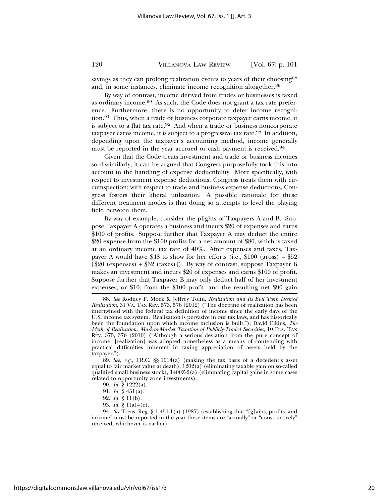savings as they can prolong realization events to years of their choosing<sup>88</sup> and, in some instances, eliminate income recognition altogether.89

By way of contrast, income derived from trades or businesses is taxed as ordinary income.90 As such, the Code does not grant a tax rate preference. Furthermore, there is no opportunity to defer income recognition.<sup>91</sup> Thus, when a trade or business corporate taxpayer earns income, it is subject to a flat tax rate.<sup>92</sup> And when a trade or business noncorporate taxpayer earns income, it is subject to a progressive tax rate.<sup>93</sup> In addition, depending upon the taxpayer's accounting method, income generally must be reported in the year accrued or cash payment is received.<sup>94</sup>

Given that the Code treats investment and trade or business incomes so dissimilarly, it can be argued that Congress purposefully took this into account in the handling of expense deductibility. More specifically, with respect to investment expense deductions, Congress treats them with circumspection; with respect to trade and business expense deductions, Congress fosters their liberal utilization. A possible rationale for these different treatment modes is that doing so attempts to level the playing field between them.

By way of example, consider the plights of Taxpayers A and B. Suppose Taxpayer A operates a business and incurs \$20 of expenses and earns \$100 of profits. Suppose further that Taxpayer A may deduct the entire \$20 expense from the \$100 profits for a net amount of \$80, which is taxed at an ordinary income tax rate of 40%. After expenses and taxes, Taxpayer A would have \$48 to show for her efforts (i.e.,  $$100$  (gross) – \$52  $[\$20$  (expenses) + \$32 (taxes)]). By way of contrast, suppose Taxpayer B makes an investment and incurs \$20 of expenses and earns \$100 of profit. Suppose further that Taxpayer B may only deduct half of her investment expenses, or \$10, from the \$100 profit, and the resulting net \$90 gain

89. *See, e.g.*, I.R.C. §§ 1014(a) (making the tax basis of a decedent's asset equal to fair market value at death),  $1202(a)$  (eliminating taxable gain on so-called qualified small business stock),  $1400Z-2(a)$  (eliminating capital gains in some cases related to opportunity zone investments).

- 92. *Id.* § 11(b).
- 93. *Id.* § 1(a)–(c).

94. *See* Treas. Reg. § 1.451-1(a) (1987) (establishing that "[g]ains, profits, and income" must be reported in the year these items are "actually" or "constructively" received, whichever is earlier).

<sup>88.</sup> *See* Rodney P. Mock & Jeffrey Tolin, *Realization and Its Evil Twin Deemed Realization*, 31 VA. TAX REV. 573, 576 (2012) ("The doctrine of realization has been intertwined with the federal tax definition of income since the early days of the U.S. income tax system. Realization is pervasive in our tax laws, and has historically been the foundation upon which income inclusion is built."); David Elkins, *The Myth of Realization: Mark-to-Market Taxation of Publicly-Traded Securities*, 10 FLA. TAX REV. 375, 376 (2010) ("Although a serious deviation from the pure concept of income, [realization] was adopted nonetheless as a means of contending with practical difficulties inherent in taxing appreciation of assets held by the taxpayer.").

<sup>90.</sup> *Id.* § 1222(a).

<sup>91.</sup> *Id.* § 451(a).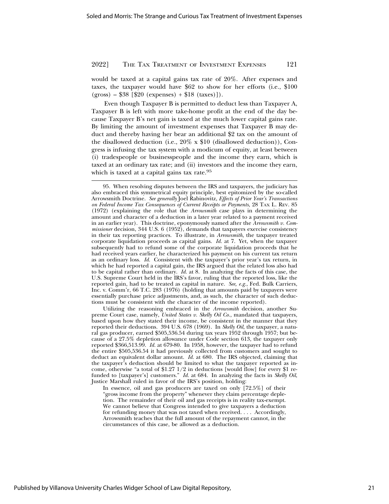would be taxed at a capital gains tax rate of 20%. After expenses and taxes, the taxpayer would have \$62 to show for her efforts (i.e., \$100 (gross) – \$38 [\$20 (expenses) + \$18 (taxes)]).

Even though Taxpayer B is permitted to deduct less than Taxpayer A, Taxpayer B is left with more take-home profit at the end of the day because Taxpayer B's net gain is taxed at the much lower capital gains rate. By limiting the amount of investment expenses that Taxpayer B may deduct and thereby having her bear an additional \$2 tax on the amount of the disallowed deduction (i.e.,  $20\% \times 10$  (disallowed deduction)), Congress is infusing the tax system with a modicum of equity, at least between (i) tradespeople or businesspeople and the income they earn, which is taxed at an ordinary tax rate; and (ii) investors and the income they earn, which is taxed at a capital gains tax rate.<sup>95</sup>

Utilizing the reasoning embraced in the *Arrowsmith* decision, another Supreme Court case, namely, *United States v. Skelly Oil Co.*, mandated that taxpayers, based upon how they stated their income, be consistent in the manner that they reported their deductions. 394 U.S. 678 (1969). In *Skelly Oil*, the taxpayer, a natural gas producer, earned \$505,536.54 during tax years 1952 through 1957; but because of a 27.5% depletion allowance under Code section 613, the taxpayer only reported \$366,513.99. *Id.* at 679-80. In 1958, however, the taxpayer had to refund the entire \$505,536.54 it had previously collected from customers and sought to deduct an equivalent dollar amount. *Id.* at 680. The IRS objected, claiming that the taxpayer's deduction should be limited to what the taxpayer reported as income, otherwise "a total of \$1.27  $1/2$  in deductions [would flow] for every \$1 refunded to [taxpayer's] customers." *Id.* at 684. In analyzing the facts in *Skelly Oil*, Justice Marshall ruled in favor of the IRS's position, holding:

In essence, oil and gas producers are taxed on only [72.5%] of their "gross income from the property" whenever they claim percentage depletion. The remainder of their oil and gas receipts is in reality tax-exempt. We cannot believe that Congress intended to give taxpayers a deduction for refunding money that was not taxed when received. . . . Accordingly, Arrowsmith teaches that the full amount of the repayment cannot, in the circumstances of this case, be allowed as a deduction.

<sup>95.</sup> When resolving disputes between the IRS and taxpayers, the judiciary has also embraced this symmetrical equity principle, best epitomized by the so-called Arrowsmith Doctrine. *See generally* Joel Rabinovitz, *Effects of Prior Year's Transactions on Federal Income Tax Consequences of Current Receipts or Payments*, 28 TAX L. REV. 85 (1972) (explaining the role that the *Arrowsmith* case plays in determining the amount and character of a deduction in a later year related to a payment received in an earlier year). This doctrine, eponymously named after the *Arrowsmith v. Commissioner* decision, 344 U.S. 6 (1952), demands that taxpayers exercise consistency in their tax reporting practices. To illustrate, in *Arrowsmith*, the taxpayer treated corporate liquidation proceeds as capital gains. *Id.* at 7. Yet, when the taxpayer subsequently had to refund some of the corporate liquidation proceeds that he had received years earlier, he characterized his payment on his current tax return as an ordinary loss. *Id.* Consistent with the taxpayer's prior year's tax return, in which he had reported a capital gain, the IRS argued that the related loss also had to be capital rather than ordinary. *Id.* at 8. In analyzing the facts of this case, the U.S. Supreme Court held in the IRS's favor, ruling that the reported loss, like the reported gain, had to be treated as capital in nature. *See, e.g.*, Fed. Bulk Carriers, Inc. v. Comm'r, 66 T.C. 283 (1976) (holding that amounts paid by taxpayers were essentially purchase price adjustments, and, as such, the character of such deductions must be consistent with the character of the income reported).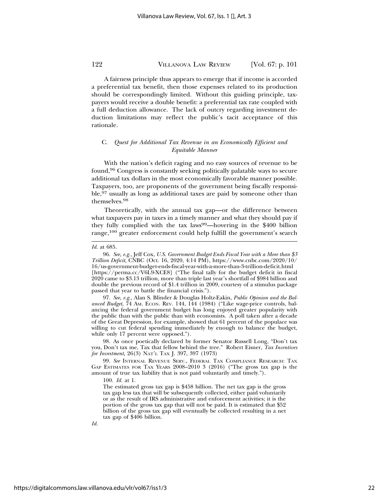A fairness principle thus appears to emerge that if income is accorded a preferential tax benefit, then those expenses related to its production should be correspondingly limited. Without this guiding principle, taxpayers would receive a double benefit: a preferential tax rate coupled with a full deduction allowance. The lack of outcry regarding investment deduction limitations may reflect the public's tacit acceptance of this rationale.

## C. *Quest for Additional Tax Revenue in an Economically Efficient and Equitable Manner*

With the nation's deficit raging and no easy sources of revenue to be found,96 Congress is constantly seeking politically palatable ways to secure additional tax dollars in the most economically favorable manner possible. Taxpayers, too, are proponents of the government being fiscally responsible,97 usually as long as additional taxes are paid by someone other than themselves.<sup>98</sup>

Theoretically, with the annual tax gap—or the difference between what taxpayers pay in taxes in a timely manner and what they should pay if they fully complied with the tax laws<sup>99</sup>—hovering in the \$400 billion range,100 greater enforcement could help fulfill the government's search

97. *See, e.g.*, Alan S. Blinder & Douglas Holtz-Eakin, *Public Opinion and the Balanced Budget*, 74 AM. ECON. REV. 144, 144 (1984) ("Like wage-price controls, balancing the federal government budget has long enjoyed greater popularity with the public than with the public than with economists. A poll taken after a decade of the Great Depression, for example, showed that 61 percent of the populace was willing to cut federal spending immediately by enough to balance the budget, while only 17 percent were opposed.").

98. As once poetically declared by former Senator Russell Long, "Don't tax you, Don't tax me, Tax that fellow behind the tree." Robert Eisner, *Tax Incentives for Investment*, 26(3) NAT'L TAX J. 397, 397 (1973)

99. *See* INTERNAL REVENUE SERV., FEDERAL TAX COMPLIANCE RESEARCH: TAX GAP ESTIMATES FOR TAX YEARS 2008–2010 3 (2016) ("The gross tax gap is the amount of true tax liability that is not paid voluntarily and timely.").

100. *Id.* at 1.

The estimated gross tax gap is \$458 billion. The net tax gap is the gross tax gap less tax that will be subsequently collected, either paid voluntarily or as the result of IRS administrative and enforcement activities; it is the portion of the gross tax gap that will not be paid. It is estimated that \$52 billion of the gross tax gap will eventually be collected resulting in a net tax gap of \$406 billion.

*Id.*

*Id.* at 685.

<sup>96.</sup> *See, e.g.*, Jeff Cox, *U.S. Government Budget Ends Fiscal Year with a More than \$3 Trillion Deficit*, CNBC (Oct. 16, 2020, 4:14 PM), https://www.cnbc.com/2020/10/ 16/us-government-budget-ends-fiscal-year-with-a-more-than-3-trillion-deficit.html [https://perma.cc/V6L9-XCE8] ("The final tally for the budget deficit in fiscal 2020 came to \$3.13 trillion, more than triple last year's shortfall of \$984 billion and double the previous record of \$1.4 trillion in 2009, courtesy of a stimulus package passed that year to battle the financial crisis.").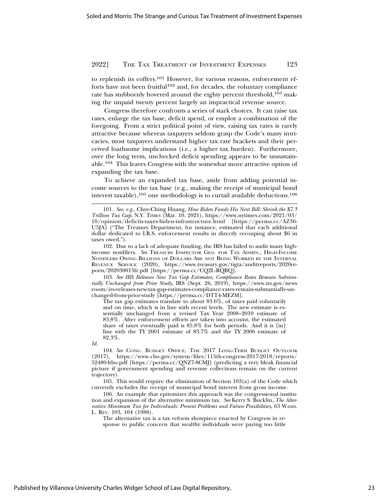to replenish its coffers.<sup>101</sup> However, for various reasons, enforcement efforts have not been fruitful<sup>102</sup> and, for decades, the voluntary compliance rate has stubbornly hovered around the eighty percent threshold,  $103$  making the unpaid twenty percent largely an impractical revenue source.

Congress therefore confronts a series of stark choices. It can raise tax rates, enlarge the tax base, deficit spend, or employ a combination of the foregoing. From a strict political point of view, raising tax rates is rarely attractive because whereas taxpayers seldom grasp the Code's many intricacies, most taxpayers understand higher tax rate brackets and their perceived loathsome implications (i.e., a higher tax burden). Furthermore, over the long term, unchecked deficit spending appears to be unsustainable.104 This leaves Congress with the somewhat more attractive option of expanding the tax base.

To achieve an expanded tax base, aside from adding potential income sources to the tax base (e.g., making the receipt of municipal bond interest taxable),105 one methodology is to curtail available deductions.106

103. *See IRS Releases New Tax Gap Estimates; Compliance Rates Remain Substantially Unchanged from Prior Study*, IRS (Sept. 26, 2019), https://www.irs.gov/news room/irs-releases-new-tax-gap-estimates-compliance-rates-remain-substantially-unchanged-from-prior-study [https://perma.cc/DTT4-MEZM].

The tax gap estimates translate to about 83.6%, of taxes paid voluntarily and on time, which is in line with recent levels. The new estimate is essentially unchanged from a revised Tax Year 2008–2010 estimate of 83.8%. After enforcement efforts are taken into account, the estimated share of taxes eventually paid is 85.8% for both periods. And it is [in] line with the TY 2001 estimate of 83.7% and the TY 2006 estimate of 82.3%.

*Id.*

104. *See* CONG. BUDGET OFFICE, THE 2017 LONG-TERM BUDGET OUTLOOK (2017), https://www.cbo.gov/system/files/115th-congress-2017-2018/reports/ 52480-ltbo.pdf [https://perma.cc/QNZ7-8CMJ] (predicting a very bleak financial picture if government spending and revenue collections remain on the current trajectory).

105. This would require the elimination of Section 103(a) of the Code which currently excludes the receipt of municipal bond interest from gross income.

106. An example that epitomizes this approach was the congressional institution and expansion of the alternative minimum tax. *See* Kerry S. Bucklin, *The Alternative Minimum Tax for Individuals: Present Problems and Future Possibilities*, 63 WASH. L. REV. 103, 104 (1988).

The alternative tax is a tax reform showpiece enacted by Congress in response to public concern that wealthy individuals were paying too little

<sup>101.</sup> *See, e.g.*, Chye-Ching Huang, *How Biden Funds His Next Bill: Shrink the \$7.5 Trillion Tax Gap*, N.Y. TIMES (Mar. 10, 2021), https://www.nytimes.com/2021/03/ 10/opinion/deficits-taxes-biden-infrastructure.html [https://perma.cc/AZ36- U5JA] ("The Treasury Department, for instance, estimated that each additional dollar dedicated to I.R.S. enforcement results in directly recouping about \$6 in taxes owed.").

<sup>102.</sup> Due to a lack of adequate funding, the IRS has failed to audit many highincome nonfilers. *See* TREASURY INSPECTOR GEN. FOR TAX ADMIN., HIGH-INCOME NONFILERS OWING BILLIONS OF DOLLARS ARE NOT BEING WORKED BY THE INTERNAL REVENUE SERVICE (2020), https://www.treasury.gov/tigta/auditreports/2020reports/202030015fr.pdf [https://perma.cc/CQ2L-RQBQ].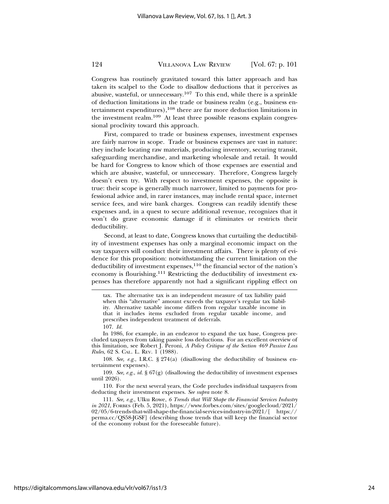Congress has routinely gravitated toward this latter approach and has taken its scalpel to the Code to disallow deductions that it perceives as abusive, wasteful, or unnecessary.107 To this end, while there is a sprinkle of deduction limitations in the trade or business realm (e.g., business entertainment expenditures),<sup>108</sup> there are far more deduction limitations in the investment realm.<sup>109</sup> At least three possible reasons explain congressional proclivity toward this approach.

First, compared to trade or business expenses, investment expenses are fairly narrow in scope. Trade or business expenses are vast in nature: they include locating raw materials, producing inventory, securing transit, safeguarding merchandise, and marketing wholesale and retail. It would be hard for Congress to know which of those expenses are essential and which are abusive, wasteful, or unnecessary. Therefore, Congress largely doesn't even try. With respect to investment expenses, the opposite is true: their scope is generally much narrower, limited to payments for professional advice and, in rarer instances, may include rental space, internet service fees, and wire bank charges. Congress can readily identify these expenses and, in a quest to secure additional revenue, recognizes that it won't do grave economic damage if it eliminates or restricts their deductibility.

Second, at least to date, Congress knows that curtailing the deductibility of investment expenses has only a marginal economic impact on the way taxpayers will conduct their investment affairs. There is plenty of evidence for this proposition: notwithstanding the current limitation on the deductibility of investment expenses,<sup>110</sup> the financial sector of the nation's economy is flourishing.<sup>111</sup> Restricting the deductibility of investment expenses has therefore apparently not had a significant rippling effect on

107. *Id.*

In 1986, for example, in an endeavor to expand the tax base, Congress precluded taxpayers from taking passive loss deductions. For an excellent overview of this limitation, see Robert J. Peroni, *A Policy Critique of the Section 469 Passive Loss Rules*, 62 S. CAL. L. REV. 1 (1988).

108. *See, e.g.*, I.R.C. § 274(a) (disallowing the deductibility of business entertainment expenses).

109. *See, e.g.*, *id.* § 67(g) (disallowing the deductibility of investment expenses until 2026).

110. For the next several years, the Code precludes individual taxpayers from deducting their investment expenses. *See supra* note 8.

111. *See, e.g.*, Ulku Rowe, *6 Trends that Will Shape the Financial Services Industry in 2021*, FORBES (Feb. 5, 2021), https://www.forbes.com/sites/googlecloud/2021/ 02/05/6-trends-that-will-shape-the-financial-services-industry-in-2021/[ https:// perma.cc/QS58-JGSF] (describing those trends that will keep the financial sector of the economy robust for the foreseeable future).

tax. The alternative tax is an independent measure of tax liability paid when this "alternative" amount exceeds the taxpayer's regular tax liability. Alternative taxable income differs from regular taxable income in that it includes items excluded from regular taxable income, and prescribes independent treatment of deferrals.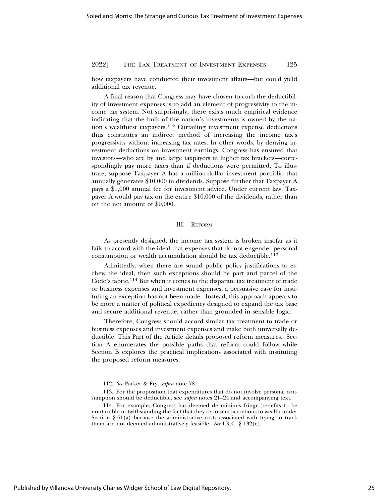how taxpayers have conducted their investment affairs—but could yield additional tax revenue.

A final reason that Congress may have chosen to curb the deductibility of investment expenses is to add an element of progressivity to the income tax system. Not surprisingly, there exists much empirical evidence indicating that the bulk of the nation's investments is owned by the nation's wealthiest taxpayers.112 Curtailing investment expense deductions thus constitutes an indirect method of increasing the income tax's progressivity without increasing tax rates. In other words, by denying investment deductions on investment earnings, Congress has ensured that investors—who are by and large taxpayers in higher tax brackets—correspondingly pay more taxes than if deductions were permitted. To illustrate, suppose Taxpayer A has a million-dollar investment portfolio that annually generates \$10,000 in dividends. Suppose further that Taxpayer A pays a \$1,000 annual fee for investment advice. Under current law, Taxpayer A would pay tax on the entire \$10,000 of the dividends, rather than on the net amount of \$9,000.

#### III. REFORM

As presently designed, the income tax system is broken insofar as it fails to accord with the ideal that expenses that do not engender personal consumption or wealth accumulation should be tax deductible.113

Admittedly, when there are sound public policy justifications to eschew the ideal, then such exceptions should be part and parcel of the Code's fabric.114 But when it comes to the disparate tax treatment of trade or business expenses and investment expenses, a persuasive case for instituting an exception has not been made. Instead, this approach appears to be more a matter of political expediency designed to expand the tax base and secure additional revenue, rather than grounded in sensible logic.

Therefore, Congress should accord similar tax treatment to trade or business expenses and investment expenses and make both universally deductible. This Part of the Article details proposed reform measures. Section A enumerates the possible paths that reform could follow while Section B explores the practical implications associated with instituting the proposed reform measures.

<sup>112.</sup> *See* Parker & Fry, *supra* note 78.

<sup>113.</sup> For the proposition that expenditures that do not involve personal consumption should be deductible, see *supra* notes 21–24 and accompanying text.

<sup>114.</sup> For example, Congress has deemed de minimis fringe benefits to be nontaxable notwithstanding the fact that they represent accretions to wealth under Section  $\S 61(a)$  because the administrative costs associated with trying to track them are not deemed administratively feasible. *See* I.R.C. § 132(e).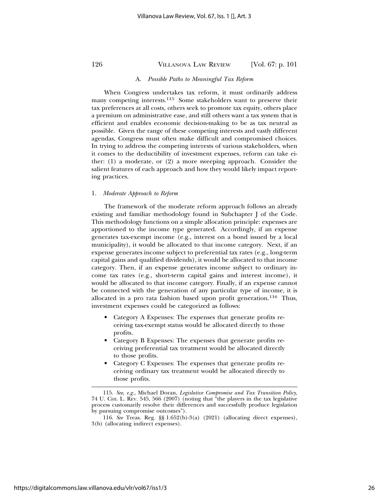#### A. *Possible Paths to Meaningful Tax Reform*

When Congress undertakes tax reform, it must ordinarily address many competing interests.<sup>115</sup> Some stakeholders want to preserve their tax preferences at all costs, others seek to promote tax equity, others place a premium on administrative ease, and still others want a tax system that is efficient and enables economic decision-making to be as tax neutral as possible. Given the range of these competing interests and vastly different agendas, Congress must often make difficult and compromised choices. In trying to address the competing interests of various stakeholders, when it comes to the deductibility of investment expenses, reform can take either: (1) a moderate, or (2) a more sweeping approach. Consider the salient features of each approach and how they would likely impact reporting practices.

### 1. *Moderate Approach to Reform*

The framework of the moderate reform approach follows an already existing and familiar methodology found in Subchapter J of the Code. This methodology functions on a simple allocation principle: expenses are apportioned to the income type generated. Accordingly, if an expense generates tax-exempt income (e.g., interest on a bond issued by a local municipality), it would be allocated to that income category. Next, if an expense generates income subject to preferential tax rates (e.g., long-term capital gains and qualified dividends), it would be allocated to that income category. Then, if an expense generates income subject to ordinary income tax rates (e.g., short-term capital gains and interest income), it would be allocated to that income category. Finally, if an expense cannot be connected with the generation of any particular type of income, it is allocated in a pro rata fashion based upon profit generation.116 Thus, investment expenses could be categorized as follows:

- Category A Expenses: The expenses that generate profits receiving tax-exempt status would be allocated directly to those profits.
- Category B Expenses: The expenses that generate profits receiving preferential tax treatment would be allocated directly to those profits.
- Category C Expenses: The expenses that generate profits receiving ordinary tax treatment would be allocated directly to those profits.

<sup>115.</sup> *See, e.g.*, Michael Doran, *Legislative Compromise and Tax Transition Policy*, 74 U. CHI. L. REV. 545, 566 (2007) (noting that  ${}^{4}$ the players in the tax legislative process customarily resolve their differences and successfully produce legislation by pursuing compromise outcomes").

<sup>116.</sup> *See* Treas. Reg. §§ 1.652(b)-3(a) (2021) (allocating direct expenses), 3(b) (allocating indirect expenses).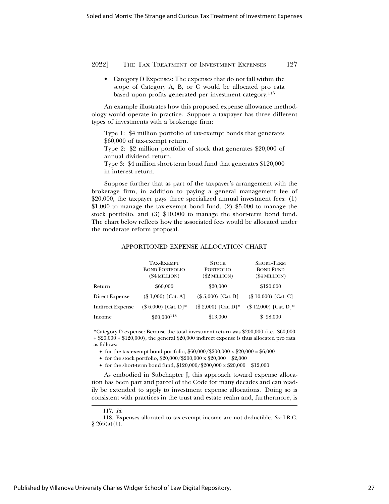• Category D Expenses: The expenses that do not fall within the scope of Category A, B, or C would be allocated pro rata based upon profits generated per investment category.117

An example illustrates how this proposed expense allowance methodology would operate in practice. Suppose a taxpayer has three different types of investments with a brokerage firm:

Type 1: \$4 million portfolio of tax-exempt bonds that generates \$60,000 of tax-exempt return.

Type 2: \$2 million portfolio of stock that generates \$20,000 of annual dividend return.

Type 3: \$4 million short-term bond fund that generates \$120,000 in interest return.

Suppose further that as part of the taxpayer's arrangement with the brokerage firm, in addition to paying a general management fee of  $$20,000$ , the taxpayer pays three specialized annual investment fees: (1) \$1,000 to manage the tax-exempt bond fund, (2) \$5,000 to manage the stock portfolio, and (3) \$10,000 to manage the short-term bond fund. The chart below reflects how the associated fees would be allocated under the moderate reform proposal.

### APPORTIONED EXPENSE ALLOCATION CHART

|                         | <b>TAX-EXEMPT</b><br><b>BOND PORTFOLIO</b><br>(\$4 MILLION) | <b>STOCK</b><br><b>PORTFOLIO</b><br>$(\$2$ MILLION $)$ | <b>SHORT-TERM</b><br><b>BOND FUND</b><br>(\$4 MILLION) |
|-------------------------|-------------------------------------------------------------|--------------------------------------------------------|--------------------------------------------------------|
| Return                  | \$60,000                                                    | \$20,000                                               | \$120,000                                              |
| Direct Expense          | $($ 1,000)$ [Cat. A]                                        | $($ 5,000)$ [Cat. B]                                   | $($10,000)$ [Cat. C]                                   |
| <b>Indirect Expense</b> | $($6,000)$ [Cat. D]*                                        | $($ 2,000)$ [Cat. D]*                                  | $($ 12,000)$ [Cat. D]*                                 |
| Income                  | $$60,000$ <sup>118</sup>                                    | \$13,000                                               | \$98,000                                               |

\*Category D expense: Because the total investment return was \$200,000 (i.e., \$60,000 + \$20,000 + \$120,000), the general \$20,000 indirect expense is thus allocated pro rata as follows:

• for the tax-exempt bond portfolio,  $$60,000$ / $$200,000 \times $20,000 = $6,000$ 

• for the stock portfolio,  $$20,000$ / $$200,000 \times $20,000 = $2,000$ 

• for the short-term bond fund,  $$120,000$ / $$200,000 \times $20,000 = $12,000$ 

As embodied in Subchapter J, this approach toward expense allocation has been part and parcel of the Code for many decades and can readily be extended to apply to investment expense allocations. Doing so is consistent with practices in the trust and estate realm and, furthermore, is

<sup>117.</sup> *Id.*

<sup>118.</sup> Expenses allocated to tax-exempt income are not deductible. *See* I.R.C.  $§ 265(a)(1).$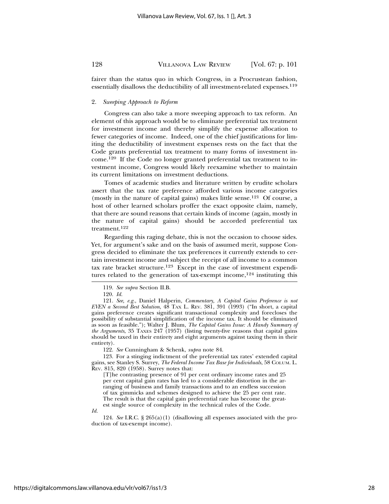fairer than the status quo in which Congress, in a Procrustean fashion, essentially disallows the deductibility of all investment-related expenses.<sup>119</sup>

#### 2. *Sweeping Approach to Reform*

Congress can also take a more sweeping approach to tax reform. An element of this approach would be to eliminate preferential tax treatment for investment income and thereby simplify the expense allocation to fewer categories of income. Indeed, one of the chief justifications for limiting the deductibility of investment expenses rests on the fact that the Code grants preferential tax treatment to many forms of investment income.<sup>120</sup> If the Code no longer granted preferential tax treatment to investment income, Congress would likely reexamine whether to maintain its current limitations on investment deductions.

Tomes of academic studies and literature written by erudite scholars assert that the tax rate preference afforded various income categories (mostly in the nature of capital gains) makes little sense.<sup>121</sup> Of course, a host of other learned scholars proffer the exact opposite claim, namely, that there are sound reasons that certain kinds of income (again, mostly in the nature of capital gains) should be accorded preferential tax treatment.<sup>122</sup>

Regarding this raging debate, this is not the occasion to choose sides. Yet, for argument's sake and on the basis of assumed merit, suppose Congress decided to eliminate the tax preferences it currently extends to certain investment income and subject the receipt of all income to a common tax rate bracket structure.<sup>123</sup> Except in the case of investment expenditures related to the generation of tax-exempt income,  $124$  instituting this

122. *See* Cunningham & Schenk, *supra* note 84.

123. For a stinging indictment of the preferential tax rates' extended capital gains, see Stanley S. Surrey, *The Federal Income Tax Base for Individuals*, 58 COLUM. L. REV. 815, 820 (1958). Surrey notes that:

[T]he contrasting presence of 91 per cent ordinary income rates and 25 per cent capital gain rates has led to a considerable distortion in the arranging of business and family transactions and to an endless succession of tax gimmicks and schemes designed to achieve the 25 per cent rate. The result is that the capital gain preferential rate has become the greatest single source of complexity in the technical rules of the Code.

*Id.*

124. *See* I.R.C. § 265(a)(1) (disallowing all expenses associated with the production of tax-exempt income).

<sup>119.</sup> *See supra* Section II.B.

<sup>120.</sup> *Id.*

<sup>121.</sup> *See, e.g.*, Daniel Halperin, *Commentary, A Capital Gains Preference is not EVEN a Second Best Solution*, 48 TAX L. REV. 381, 391 (1993) ("In short, a capital gains preference creates significant transactional complexity and forecloses the possibility of substantial simplification of the income tax. It should be eliminated as soon as feasible."); Walter J. Blum, *The Capital Gains Issue: A Handy Summary of the Arguments*, 35 TAXES 247 (1957) (listing twenty-five reasons that capital gains should be taxed in their entirety and eight arguments against taxing them in their entirety).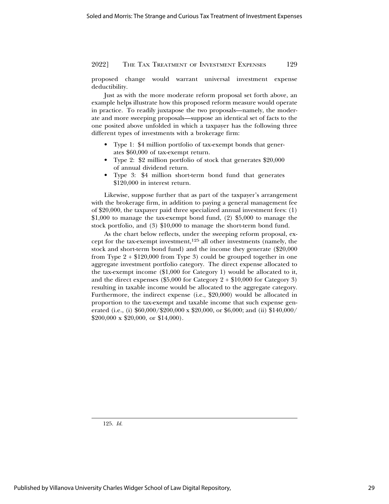proposed change would warrant universal investment expense deductibility.

Just as with the more moderate reform proposal set forth above, an example helps illustrate how this proposed reform measure would operate in practice. To readily juxtapose the two proposals—namely, the moderate and more sweeping proposals—suppose an identical set of facts to the one posited above unfolded in which a taxpayer has the following three different types of investments with a brokerage firm:

- Type 1: \$4 million portfolio of tax-exempt bonds that generates \$60,000 of tax-exempt return.
- Type 2: \$2 million portfolio of stock that generates \$20,000 of annual dividend return.
- Type 3: \$4 million short-term bond fund that generates \$120,000 in interest return.

Likewise, suppose further that as part of the taxpayer's arrangement with the brokerage firm, in addition to paying a general management fee of \$20,000, the taxpayer paid three specialized annual investment fees: (1)  $$1,000$  to manage the tax-exempt bond fund, (2)  $$5,000$  to manage the stock portfolio, and (3) \$10,000 to manage the short-term bond fund.

As the chart below reflects, under the sweeping reform proposal, except for the tax-exempt investment,125 all other investments (namely, the stock and short-term bond fund) and the income they generate (\$20,000 from Type  $2 + $120,000$  from Type 3) could be grouped together in one aggregate investment portfolio category. The direct expense allocated to the tax-exempt income (\$1,000 for Category 1) would be allocated to it, and the direct expenses  $(\$5,000$  for Category  $2 + \$10,000$  for Category 3) resulting in taxable income would be allocated to the aggregate category. Furthermore, the indirect expense (i.e., \$20,000) would be allocated in proportion to the tax-exempt and taxable income that such expense generated (i.e., (i)  $$60,000$ / $$200,000 \times $20,000$ , or \$6,000; and (ii) \$140,000/ \$200,000 x \$20,000, or \$14,000).

125. *Id.*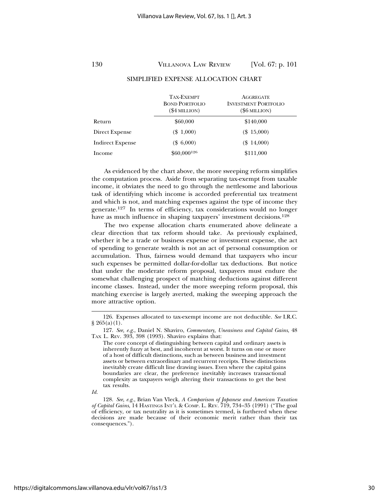|                         | TAX-EXEMPT<br><b>BOND PORTFOLIO</b><br>$($4$ MILLION $)$ | <b>AGGREGATE</b><br><b>INVESTMENT PORTFOLIO</b><br>(\$6 MILLION) |
|-------------------------|----------------------------------------------------------|------------------------------------------------------------------|
| Return                  | \$60,000                                                 | \$140,000                                                        |
| Direct Expense          | $(\$1,000)$                                              | $(\$15,000)$                                                     |
| <b>Indirect Expense</b> | $(\$6,000)$                                              | $(\$14,000)$                                                     |
| Income                  | $$60,000^{126}$                                          | \$111,000                                                        |

#### SIMPLIFIED EXPENSE ALLOCATION CHART

As evidenced by the chart above, the more sweeping reform simplifies the computation process. Aside from separating tax-exempt from taxable income, it obviates the need to go through the nettlesome and laborious task of identifying which income is accorded preferential tax treatment and which is not, and matching expenses against the type of income they generate.127 In terms of efficiency, tax considerations would no longer have as much influence in shaping taxpayers' investment decisions.<sup>128</sup>

The two expense allocation charts enumerated above delineate a clear direction that tax reform should take. As previously explained, whether it be a trade or business expense or investment expense, the act of spending to generate wealth is not an act of personal consumption or accumulation. Thus, fairness would demand that taxpayers who incur such expenses be permitted dollar-for-dollar tax deductions. But notice that under the moderate reform proposal, taxpayers must endure the somewhat challenging prospect of matching deductions against different income classes. Instead, under the more sweeping reform proposal, this matching exercise is largely averted, making the sweeping approach the more attractive option.

*Id.*

<sup>126.</sup> Expenses allocated to tax-exempt income are not deductible. *See* I.R.C. § 265(a)(1).

<sup>127.</sup> *See, e.g.*, Daniel N. Shaviro, *Commentary, Uneasiness and Capital Gains*, 48 TAX L. REV. 393, 398 (1993). Shaviro explains that:

The core concept of distinguishing between capital and ordinary assets is inherently fuzzy at best, and incoherent at worst. It turns on one or more of a host of difficult distinctions, such as between business and investment assets or between extraordinary and recurrent receipts. These distinctions inevitably create difficult line drawing issues. Even where the capital gains boundaries are clear, the preference inevitably increases transactional complexity as taxpayers weigh altering their transactions to get the best tax results.

<sup>128.</sup> *See, e.g.*, Brian Van Vleck, *A Comparison of Japanese and American Taxation of Capital Gains*, 14 HASTINGS INT'L & COMP. L. REV. 719, 734–35 (1991) ("The goal of efficiency, or tax neutrality as it is sometimes termed, is furthered when these decisions are made because of their economic merit rather than their tax consequences.").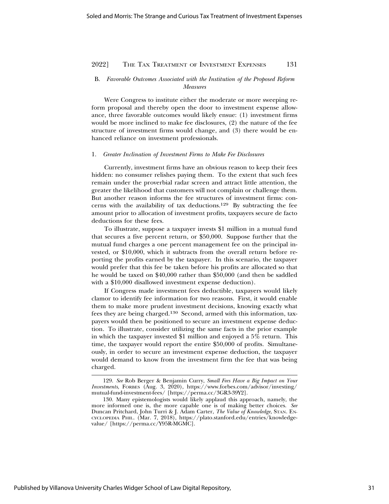### B. *Favorable Outcomes Associated with the Institution of the Proposed Reform Measures*

Were Congress to institute either the moderate or more sweeping reform proposal and thereby open the door to investment expense allowance, three favorable outcomes would likely ensue: (1) investment firms would be more inclined to make fee disclosures, (2) the nature of the fee structure of investment firms would change, and (3) there would be enhanced reliance on investment professionals.

#### 1. *Greater Inclination of Investment Firms to Make Fee Disclosures*

Currently, investment firms have an obvious reason to keep their fees hidden: no consumer relishes paying them. To the extent that such fees remain under the proverbial radar screen and attract little attention, the greater the likelihood that customers will not complain or challenge them. But another reason informs the fee structures of investment firms: concerns with the availability of tax deductions.129 By subtracting the fee amount prior to allocation of investment profits, taxpayers secure de facto deductions for these fees.

To illustrate, suppose a taxpayer invests \$1 million in a mutual fund that secures a five percent return, or \$50,000. Suppose further that the mutual fund charges a one percent management fee on the principal invested, or \$10,000, which it subtracts from the overall return before reporting the profits earned by the taxpayer. In this scenario, the taxpayer would prefer that this fee be taken before his profits are allocated so that he would be taxed on \$40,000 rather than \$50,000 (and then be saddled with a \$10,000 disallowed investment expense deduction).

If Congress made investment fees deductible, taxpayers would likely clamor to identify fee information for two reasons. First, it would enable them to make more prudent investment decisions, knowing exactly what fees they are being charged.130 Second, armed with this information, taxpayers would then be positioned to secure an investment expense deduction. To illustrate, consider utilizing the same facts in the prior example in which the taxpayer invested \$1 million and enjoyed a 5% return. This time, the taxpayer would report the entire \$50,000 of profits. Simultaneously, in order to secure an investment expense deduction, the taxpayer would demand to know from the investment firm the fee that was being charged.

<sup>129.</sup> *See* Rob Berger & Benjamin Curry, *Small Fees Have a Big Impact on Your Investments*, FORBES (Aug. 3, 2020), https://www.forbes.com/advisor/investing/ mutual-fund-investment-fees/ [https://perma.cc/3GR3-39Y2].

<sup>130.</sup> Many epistemologists would likely applaud this approach, namely, the more informed one is, the more capable one is of making better choices. *See* Duncan Pritchard, John Turri & J. Adam Carter, *The Value of Knowledge*, STAN. EN-CYCLOPEDIA PHIL. (Mar. 7, 2018), https://plato.stanford.edu/entries/knowledgevalue/ [https://perma.cc/Y95R-MGMC].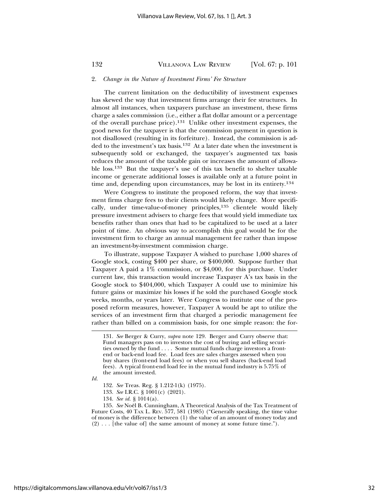#### 2. *Change in the Nature of Investment Firms' Fee Structure*

The current limitation on the deductibility of investment expenses has skewed the way that investment firms arrange their fee structures. In almost all instances, when taxpayers purchase an investment, these firms charge a sales commission (i.e., either a flat dollar amount or a percentage of the overall purchase price).131 Unlike other investment expenses, the good news for the taxpayer is that the commission payment in question is not disallowed (resulting in its forfeiture). Instead, the commission is added to the investment's tax basis.132 At a later date when the investment is subsequently sold or exchanged, the taxpayer's augmented tax basis reduces the amount of the taxable gain or increases the amount of allowable loss.133 But the taxpayer's use of this tax benefit to shelter taxable income or generate additional losses is available only at a future point in time and, depending upon circumstances, may be lost in its entirety.<sup>134</sup>

Were Congress to institute the proposed reform, the way that investment firms charge fees to their clients would likely change. More specifically, under time-value-of-money principles,135 clientele would likely pressure investment advisers to charge fees that would yield immediate tax benefits rather than ones that had to be capitalized to be used at a later point of time. An obvious way to accomplish this goal would be for the investment firm to charge an annual management fee rather than impose an investment-by-investment commission charge.

To illustrate, suppose Taxpayer A wished to purchase 1,000 shares of Google stock, costing \$400 per share, or \$400,000. Suppose further that Taxpayer A paid a 1% commission, or \$4,000, for this purchase. Under current law, this transaction would increase Taxpayer A's tax basis in the Google stock to \$404,000, which Taxpayer A could use to minimize his future gains or maximize his losses if he sold the purchased Google stock weeks, months, or years later. Were Congress to institute one of the proposed reform measures, however, Taxpayer A would be apt to utilize the services of an investment firm that charged a periodic management fee rather than billed on a commission basis, for one simple reason: the for-

*Id.*

- 133. *See* I.R.C. § 1001(c) (2021).
- 134. *See id.* § 1014(a).

<sup>131.</sup> *See* Berger & Curry, *supra* note 129. Berger and Curry observe that: Fund managers pass on to investors the cost of buying and selling securities owned by the fund . . . . Some mutual funds charge investors a frontend or back-end load fee. Load fees are sales charges assessed when you buy shares (front-end load fees) or when you sell shares (back-end load fees). A typical front-end load fee in the mutual fund industry is 5.75% of the amount invested.

<sup>132.</sup> *See* Treas. Reg. § 1.212-1(k) (1975).

<sup>135.</sup> See Noël B. Cunningham, A Theoretical Analysis of the Tax Treatment of Future Costs, 40 TAX L. REV. 577, 581 (1985) ("Generally speaking, the time value of money is the difference between (1) the value of an amount of money today and  $(2) \ldots$  [the value of] the same amount of money at some future time.").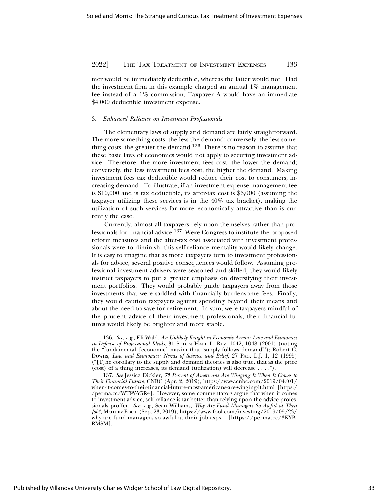mer would be immediately deductible, whereas the latter would not. Had the investment firm in this example charged an annual 1% management fee instead of a 1% commission, Taxpayer A would have an immediate \$4,000 deductible investment expense.

#### 3. *Enhanced Reliance on Investment Professionals*

The elementary laws of supply and demand are fairly straightforward. The more something costs, the less the demand; conversely, the less something costs, the greater the demand.136 There is no reason to assume that these basic laws of economics would not apply to securing investment advice. Therefore, the more investment fees cost, the lower the demand; conversely, the less investment fees cost, the higher the demand. Making investment fees tax deductible would reduce their cost to consumers, increasing demand. To illustrate, if an investment expense management fee is \$10,000 and is tax deductible, its after-tax cost is \$6,000 (assuming the taxpayer utilizing these services is in the 40% tax bracket), making the utilization of such services far more economically attractive than is currently the case.

Currently, almost all taxpayers rely upon themselves rather than professionals for financial advice.137 Were Congress to institute the proposed reform measures and the after-tax cost associated with investment professionals were to diminish, this self-reliance mentality would likely change. It is easy to imagine that as more taxpayers turn to investment professionals for advice, several positive consequences would follow. Assuming professional investment advisers were seasoned and skilled, they would likely instruct taxpayers to put a greater emphasis on diversifying their investment portfolios. They would probably guide taxpayers away from those investments that were saddled with financially burdensome fees. Finally, they would caution taxpayers against spending beyond their means and about the need to save for retirement. In sum, were taxpayers mindful of the prudent advice of their investment professionals, their financial futures would likely be brighter and more stable.

<sup>136.</sup> *See, e.g.*, Eli Wald, *An Unlikely Knight in Economic Armor: Law and Economics in Defense of Professional Ideals*, 31 SETON HALL L. REV. 1042, 1048 (2001) (noting the "fundamental [economic] maxim that 'supply follows demand"'); Robert C. Downs, *Law and Economics: Nexus of Science and Belief*, 27 PAC. L.J. 1, 12 (1995) ("[T]he corollary to the supply and demand theories is also true, that as the price (cost) of a thing increases, its demand (utilization) will decrease . . . .").

<sup>137.</sup> *See* Jessica Dickler, *75 Percent of Americans Are Winging It When It Comes to Their Financial Future*, CNBC (Apr. 2, 2019), https://www.cnbc.com/2019/04/01/ when-it-comes-to-their-financial-future-most-americans-are-winging-it.html [https:/ /perma.cc/WT9Y-Y5R4]. However, some commentators argue that when it comes to investment advice, self-reliance is far better than relying upon the advice professionals proffer. *See, e.g.*, Sean Williams, *Why Are Fund Managers So Awful at Their Job?*, MOTLEY FOOL (Sep. 23, 2019), https://www.fool.com/investing/2019/09/23/ why-are-fund-managers-so-awful-at-their-job.aspx [https://perma.cc/3KYB-RMSM].